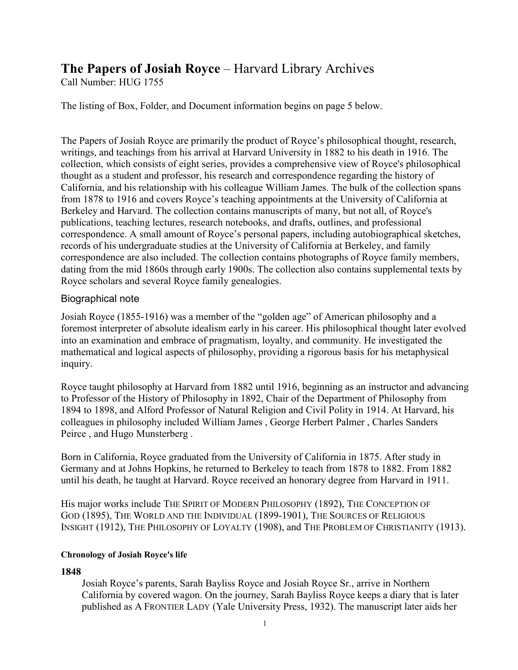# **The Papers of Josiah Royce** – Harvard Library Archives

Call Number: HUG 1755

The listing of Box, Folder, and Document information begins on page 5 below.

The Papers of Josiah Royce are primarily the product of Royce's philosophical thought, research, writings, and teachings from his arrival at Harvard University in 1882 to his death in 1916. The collection, which consists of eight series, provides a comprehensive view of Royce's philosophical thought as a student and professor, his research and correspondence regarding the history of California, and his relationship with his colleague William James. The bulk of the collection spans from 1878 to 1916 and covers Royce's teaching appointments at the University of California at Berkeley and Harvard. The collection contains manuscripts of many, but not all, of Royce's publications, teaching lectures, research notebooks, and drafts, outlines, and professional correspondence. A small amount of Royce's personal papers, including autobiographical sketches, records of his undergraduate studies at the University of California at Berkeley, and family correspondence are also included. The collection contains photographs of Royce family members, dating from the mid 1860s through early 1900s. The collection also contains supplemental texts by Royce scholars and several Royce family genealogies.

### Biographical note

Josiah Royce (1855-1916) was a member of the "golden age" of American philosophy and a foremost interpreter of absolute idealism early in his career. His philosophical thought later evolved into an examination and embrace of pragmatism, loyalty, and community. He investigated the mathematical and logical aspects of philosophy, providing a rigorous basis for his metaphysical inquiry.

Royce taught philosophy at Harvard from 1882 until 1916, beginning as an instructor and advancing to Professor of the History of Philosophy in 1892, Chair of the Department of Philosophy from 1894 to 1898, and Alford Professor of Natural Religion and Civil Polity in 1914. At Harvard, his colleagues in philosophy included William James , George Herbert Palmer , Charles Sanders Peirce , and Hugo Munsterberg .

Born in California, Royce graduated from the University of California in 1875. After study in Germany and at Johns Hopkins, he returned to Berkeley to teach from 1878 to 1882. From 1882 until his death, he taught at Harvard. Royce received an honorary degree from Harvard in 1911.

His major works include THE SPIRIT OF MODERN PHILOSOPHY (1892), THE CONCEPTION OF GOD (1895), THE WORLD AND THE INDIVIDUAL (1899-1901), THE SOURCES OF RELIGIOUS INSIGHT (1912), THE PHILOSOPHY OF LOYALTY (1908), and THE PROBLEM OF CHRISTIANITY (1913).

### **Chronology of Josiah Royce's life**

## **1848**

Josiah Royce's parents, Sarah Bayliss Royce and Josiah Royce Sr., arrive in Northern California by covered wagon. On the journey, Sarah Bayliss Royce keeps a diary that is later published as A FRONTIER LADY (Yale University Press, 1932). The manuscript later aids her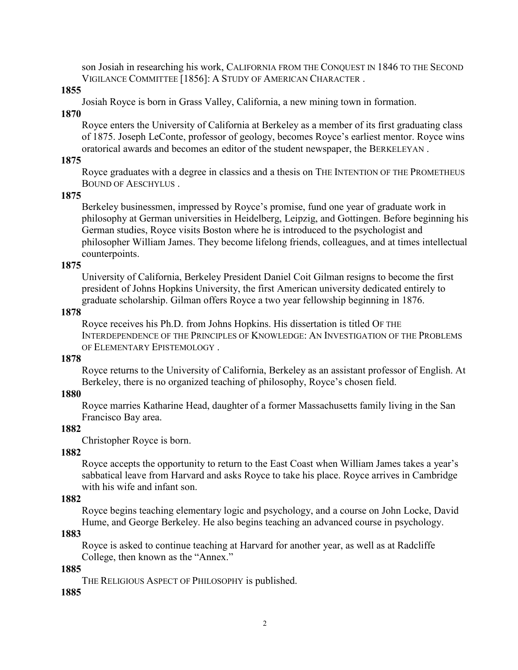son Josiah in researching his work, CALIFORNIA FROM THE CONQUEST IN 1846 TO THE SECOND VIGILANCE COMMITTEE [1856]: A STUDY OF AMERICAN CHARACTER .

### **1855**

Josiah Royce is born in Grass Valley, California, a new mining town in formation.

### **1870**

Royce enters the University of California at Berkeley as a member of its first graduating class of 1875. Joseph LeConte, professor of geology, becomes Royce's earliest mentor. Royce wins oratorical awards and becomes an editor of the student newspaper, the BERKELEYAN .

### **1875**

Royce graduates with a degree in classics and a thesis on THE INTENTION OF THE PROMETHEUS BOUND OF AESCHYLUS .

### **1875**

Berkeley businessmen, impressed by Royce's promise, fund one year of graduate work in philosophy at German universities in Heidelberg, Leipzig, and Gottingen. Before beginning his German studies, Royce visits Boston where he is introduced to the psychologist and philosopher William James. They become lifelong friends, colleagues, and at times intellectual counterpoints.

### **1875**

University of California, Berkeley President Daniel Coit Gilman resigns to become the first president of Johns Hopkins University, the first American university dedicated entirely to graduate scholarship. Gilman offers Royce a two year fellowship beginning in 1876.

### **1878**

Royce receives his Ph.D. from Johns Hopkins. His dissertation is titled OF THE INTERDEPENDENCE OF THE PRINCIPLES OF KNOWLEDGE: AN INVESTIGATION OF THE PROBLEMS OF ELEMENTARY EPISTEMOLOGY .

### **1878**

Royce returns to the University of California, Berkeley as an assistant professor of English. At Berkeley, there is no organized teaching of philosophy, Royce's chosen field.

### **1880**

Royce marries Katharine Head, daughter of a former Massachusetts family living in the San Francisco Bay area.

### **1882**

Christopher Royce is born.

### **1882**

Royce accepts the opportunity to return to the East Coast when William James takes a year's sabbatical leave from Harvard and asks Royce to take his place. Royce arrives in Cambridge with his wife and infant son.

### **1882**

Royce begins teaching elementary logic and psychology, and a course on John Locke, David Hume, and George Berkeley. He also begins teaching an advanced course in psychology.

### **1883**

Royce is asked to continue teaching at Harvard for another year, as well as at Radcliffe College, then known as the "Annex."

### **1885**

THE RELIGIOUS ASPECT OF PHILOSOPHY is published.

### **1885**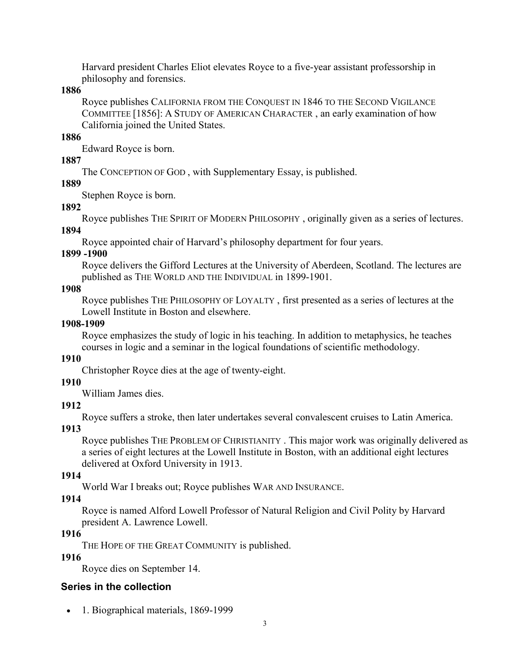Harvard president Charles Eliot elevates Royce to a five-year assistant professorship in philosophy and forensics.

**1886**

Royce publishes CALIFORNIA FROM THE CONQUEST IN 1846 TO THE SECOND VIGILANCE COMMITTEE [1856]: A STUDY OF AMERICAN CHARACTER , an early examination of how California joined the United States.

### **1886**

Edward Royce is born.

### **1887**

The CONCEPTION OF GOD , with Supplementary Essay, is published.

## **1889**

Stephen Royce is born.

## **1892**

Royce publishes THE SPIRIT OF MODERN PHILOSOPHY , originally given as a series of lectures.

## **1894**

Royce appointed chair of Harvard's philosophy department for four years.

## **1899 -1900**

Royce delivers the Gifford Lectures at the University of Aberdeen, Scotland. The lectures are published as THE WORLD AND THE INDIVIDUAL in 1899-1901.

## **1908**

Royce publishes THE PHILOSOPHY OF LOYALTY , first presented as a series of lectures at the Lowell Institute in Boston and elsewhere.

## **1908-1909**

Royce emphasizes the study of logic in his teaching. In addition to metaphysics, he teaches courses in logic and a seminar in the logical foundations of scientific methodology.

## **1910**

Christopher Royce dies at the age of twenty-eight.

## **1910**

William James dies.

## **1912**

Royce suffers a stroke, then later undertakes several convalescent cruises to Latin America.

## **1913**

Royce publishes THE PROBLEM OF CHRISTIANITY . This major work was originally delivered as a series of eight lectures at the Lowell Institute in Boston, with an additional eight lectures delivered at Oxford University in 1913.

## **1914**

World War I breaks out; Royce publishes WAR AND INSURANCE.

## **1914**

Royce is named Alford Lowell Professor of Natural Religion and Civil Polity by Harvard president A. Lawrence Lowell.

## **1916**

THE HOPE OF THE GREAT COMMUNITY is published.

## **1916**

Royce dies on September 14.

## **Series in the collection**

• 1. Biographical materials, 1869-1999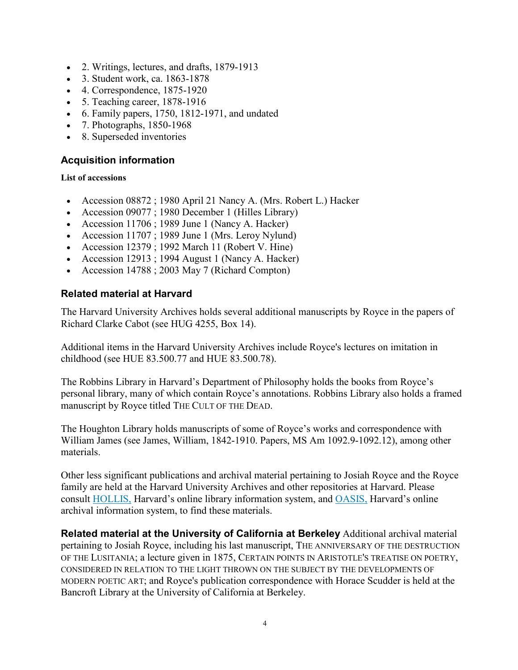- 2. Writings, lectures, and drafts, 1879-1913
- 3. Student work, ca. 1863-1878
- 4. Correspondence, 1875-1920
- 5. Teaching career, 1878-1916
- 6. Family papers, 1750, 1812-1971, and undated
- 7. Photographs, 1850-1968
- 8. Superseded inventories

## **Acquisition information**

### **List of accessions**

- Accession 08872 ; 1980 April 21 Nancy A. (Mrs. Robert L.) Hacker
- Accession 09077 ; 1980 December 1 (Hilles Library)
- Accession 11706 ; 1989 June 1 (Nancy A. Hacker)
- Accession 11707 ; 1989 June 1 (Mrs. Leroy Nylund)
- Accession 12379 ; 1992 March 11 (Robert V. Hine)
- Accession 12913 ; 1994 August 1 (Nancy A. Hacker)
- Accession 14788 ; 2003 May 7 (Richard Compton)

### **Related material at Harvard**

The Harvard University Archives holds several additional manuscripts by Royce in the papers of Richard Clarke Cabot (see HUG 4255, Box 14).

Additional items in the Harvard University Archives include Royce's lectures on imitation in childhood (see HUE 83.500.77 and HUE 83.500.78).

The Robbins Library in Harvard's Department of Philosophy holds the books from Royce's personal library, many of which contain Royce's annotations. Robbins Library also holds a framed manuscript by Royce titled THE CULT OF THE DEAD.

The Houghton Library holds manuscripts of some of Royce's works and correspondence with William James (see James, William, 1842-1910. Papers, MS Am 1092.9-1092.12), among other materials.

Other less significant publications and archival material pertaining to Josiah Royce and the Royce family are held at the Harvard University Archives and other repositories at Harvard. Please consult [HOLLIS,](http://lms01.harvard.edu/F/T6MISS69HMIHXCCU7F3M1GMF25JLCYK3436JSSGSRQJT26QJ5P-43716?RN=811904878) Harvard's online library information system, and [OASIS,](http://oasis.lib.harvard.edu/oasis/deliver/advancedsearch?_collection=oasis) Harvard's online archival information system, to find these materials.

**Related material at the University of California at Berkeley** Additional archival material pertaining to Josiah Royce, including his last manuscript, THE ANNIVERSARY OF THE DESTRUCTION OF THE LUSITANIA; a lecture given in 1875, CERTAIN POINTS IN ARISTOTLE'S TREATISE ON POETRY, CONSIDERED IN RELATION TO THE LIGHT THROWN ON THE SUBJECT BY THE DEVELOPMENTS OF MODERN POETIC ART; and Royce's publication correspondence with Horace Scudder is held at the Bancroft Library at the University of California at Berkeley.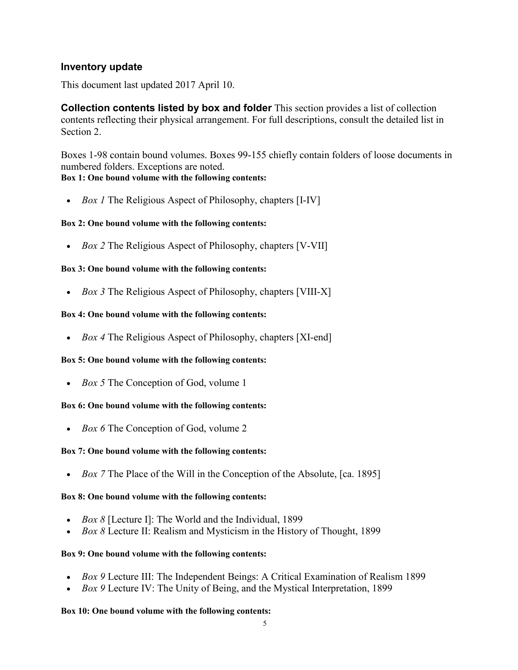## **Inventory update**

This document last updated 2017 April 10.

**Collection contents listed by box and folder** This section provides a list of collection contents reflecting their physical arrangement. For full descriptions, consult the detailed list in Section 2.

Boxes 1-98 contain bound volumes. Boxes 99-155 chiefly contain folders of loose documents in numbered folders. Exceptions are noted. **Box 1: One bound volume with the following contents:**

• *Box 1* The Religious Aspect of Philosophy, chapters [I-IV]

### **Box 2: One bound volume with the following contents:**

• *Box 2* The Religious Aspect of Philosophy, chapters [V-VII]

### **Box 3: One bound volume with the following contents:**

• *Box 3* The Religious Aspect of Philosophy, chapters [VIII-X]

### **Box 4: One bound volume with the following contents:**

• *Box 4* The Religious Aspect of Philosophy, chapters [XI-end]

### **Box 5: One bound volume with the following contents:**

• *Box 5* The Conception of God, volume 1

### **Box 6: One bound volume with the following contents:**

• *Box 6* The Conception of God, volume 2

### **Box 7: One bound volume with the following contents:**

• *Box 7* The Place of the Will in the Conception of the Absolute, [ca. 1895]

### **Box 8: One bound volume with the following contents:**

- *Box 8* [Lecture I]: The World and the Individual, 1899
- *Box 8* Lecture II: Realism and Mysticism in the History of Thought, 1899

### **Box 9: One bound volume with the following contents:**

- *Box 9* Lecture III: The Independent Beings: A Critical Examination of Realism 1899
- *Box 9* Lecture IV: The Unity of Being, and the Mystical Interpretation, 1899

#### **Box 10: One bound volume with the following contents:**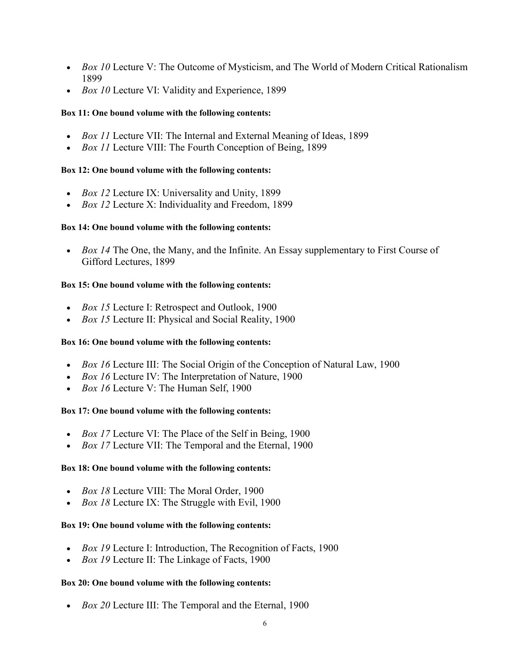- *Box 10* Lecture V: The Outcome of Mysticism, and The World of Modern Critical Rationalism 1899
- *Box 10* Lecture VI: Validity and Experience, 1899

### **Box 11: One bound volume with the following contents:**

- *Box 11* Lecture VII: The Internal and External Meaning of Ideas, 1899
- *Box 11* Lecture VIII: The Fourth Conception of Being, 1899

### **Box 12: One bound volume with the following contents:**

- *Box 12* Lecture IX: Universality and Unity, 1899
- *Box 12* Lecture X: Individuality and Freedom, 1899

### **Box 14: One bound volume with the following contents:**

• *Box 14* The One, the Many, and the Infinite. An Essay supplementary to First Course of Gifford Lectures, 1899

### **Box 15: One bound volume with the following contents:**

- *Box 15* Lecture I: Retrospect and Outlook, 1900
- *Box 15* Lecture II: Physical and Social Reality, 1900

### **Box 16: One bound volume with the following contents:**

- *Box 16* Lecture III: The Social Origin of the Conception of Natural Law, 1900
- *Box 16* Lecture IV: The Interpretation of Nature, 1900
- *Box 16* Lecture V: The Human Self, 1900

### **Box 17: One bound volume with the following contents:**

- *Box 17* Lecture VI: The Place of the Self in Being, 1900
- *Box 17* Lecture VII: The Temporal and the Eternal, 1900

### **Box 18: One bound volume with the following contents:**

- *Box 18* Lecture VIII: The Moral Order, 1900
- *Box 18* Lecture IX: The Struggle with Evil, 1900

### **Box 19: One bound volume with the following contents:**

- *Box 19* Lecture I: Introduction, The Recognition of Facts, 1900
- *Box 19* Lecture II: The Linkage of Facts, 1900

### **Box 20: One bound volume with the following contents:**

• *Box 20* Lecture III: The Temporal and the Eternal, 1900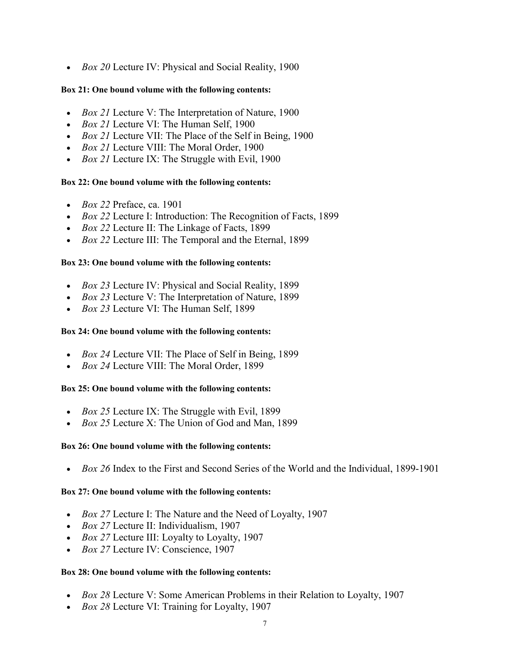• *Box 20* Lecture IV: Physical and Social Reality, 1900

### **Box 21: One bound volume with the following contents:**

- *Box 21* Lecture V: The Interpretation of Nature, 1900
- *Box 21* Lecture VI: The Human Self, 1900
- *Box 21* Lecture VII: The Place of the Self in Being, 1900
- *Box 21* Lecture VIII: The Moral Order, 1900
- *Box 21* Lecture IX: The Struggle with Evil, 1900

### **Box 22: One bound volume with the following contents:**

- *Box 22* Preface, ca. 1901
- *Box 22* Lecture I: Introduction: The Recognition of Facts, 1899
- *Box 22* Lecture II: The Linkage of Facts, 1899
- *Box 22* Lecture III: The Temporal and the Eternal, 1899

### **Box 23: One bound volume with the following contents:**

- *Box 23* Lecture IV: Physical and Social Reality, 1899
- *Box 23* Lecture V: The Interpretation of Nature, 1899
- *Box 23* Lecture VI: The Human Self, 1899

### **Box 24: One bound volume with the following contents:**

- *Box 24* Lecture VII: The Place of Self in Being, 1899
- *Box 24* Lecture VIII: The Moral Order, 1899

### **Box 25: One bound volume with the following contents:**

- *Box 25* Lecture IX: The Struggle with Evil, 1899
- *Box 25* Lecture X: The Union of God and Man, 1899

### **Box 26: One bound volume with the following contents:**

• *Box 26* Index to the First and Second Series of the World and the Individual, 1899-1901

### **Box 27: One bound volume with the following contents:**

- *Box 27* Lecture I: The Nature and the Need of Loyalty, 1907
- *Box 27* Lecture II: Individualism, 1907
- *Box 27* Lecture III: Loyalty to Loyalty, 1907
- *Box 27* Lecture IV: Conscience, 1907

#### **Box 28: One bound volume with the following contents:**

- *Box 28* Lecture V: Some American Problems in their Relation to Loyalty, 1907
- *Box 28* Lecture VI: Training for Loyalty, 1907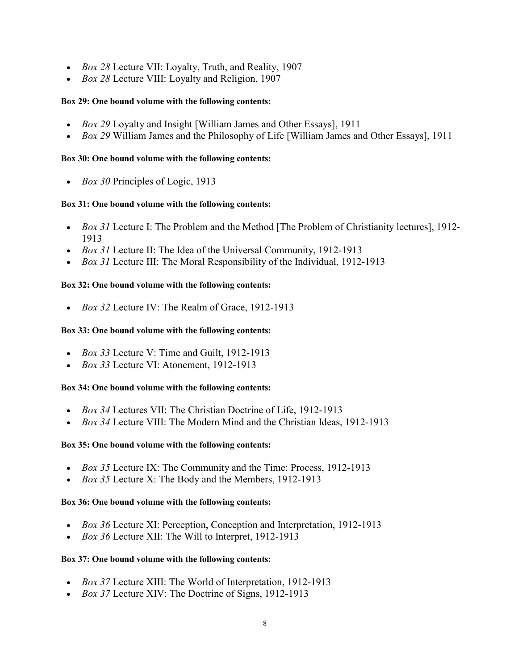- *Box 28* Lecture VII: Loyalty, Truth, and Reality, 1907
- *Box 28* Lecture VIII: Loyalty and Religion, 1907

### **Box 29: One bound volume with the following contents:**

- *Box 29* Loyalty and Insight [William James and Other Essays], 1911
- *Box 29* William James and the Philosophy of Life [William James and Other Essays], 1911

### **Box 30: One bound volume with the following contents:**

• *Box 30* Principles of Logic, 1913

### **Box 31: One bound volume with the following contents:**

- *Box 31* Lecture I: The Problem and the Method [The Problem of Christianity lectures], 1912-1913
- *Box 31* Lecture II: The Idea of the Universal Community, 1912-1913
- *Box 31* Lecture III: The Moral Responsibility of the Individual, 1912-1913

### **Box 32: One bound volume with the following contents:**

• *Box 32* Lecture IV: The Realm of Grace, 1912-1913

### **Box 33: One bound volume with the following contents:**

- *Box 33* Lecture V: Time and Guilt, 1912-1913
- *Box 33* Lecture VI: Atonement, 1912-1913

### **Box 34: One bound volume with the following contents:**

- *Box 34* Lectures VII: The Christian Doctrine of Life, 1912-1913
- *Box 34* Lecture VIII: The Modern Mind and the Christian Ideas, 1912-1913

### **Box 35: One bound volume with the following contents:**

- *Box 35* Lecture IX: The Community and the Time: Process, 1912-1913
- *Box 35* Lecture X: The Body and the Members, 1912-1913

### **Box 36: One bound volume with the following contents:**

- *Box 36* Lecture XI: Perception, Conception and Interpretation, 1912-1913
- *Box 36* Lecture XII: The Will to Interpret, 1912-1913

### **Box 37: One bound volume with the following contents:**

- *Box 37* Lecture XIII: The World of Interpretation, 1912-1913
- *Box 37* Lecture XIV: The Doctrine of Signs, 1912-1913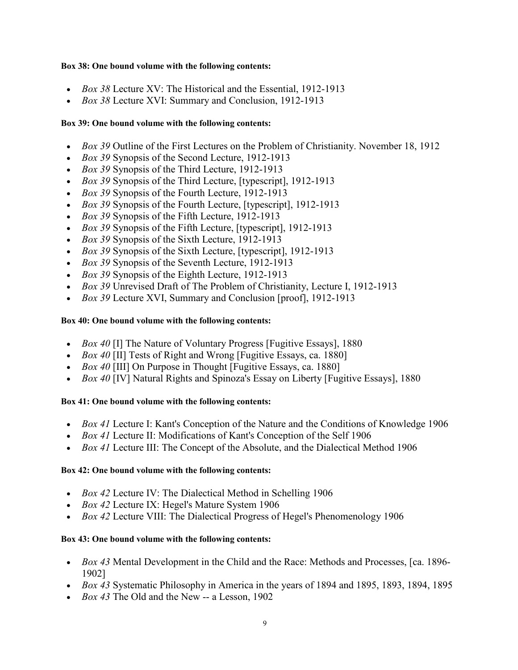#### **Box 38: One bound volume with the following contents:**

- *Box 38* Lecture XV: The Historical and the Essential, 1912-1913
- *Box 38* Lecture XVI: Summary and Conclusion, 1912-1913

### **Box 39: One bound volume with the following contents:**

- *Box 39* Outline of the First Lectures on the Problem of Christianity. November 18, 1912
- *Box 39* Synopsis of the Second Lecture, 1912-1913
- *Box 39* Synopsis of the Third Lecture, 1912-1913
- *Box 39* Synopsis of the Third Lecture, [typescript], 1912-1913
- *Box 39* Synopsis of the Fourth Lecture, 1912-1913
- *Box 39* Synopsis of the Fourth Lecture, [typescript], 1912-1913
- *Box 39* Synopsis of the Fifth Lecture, 1912-1913
- *Box 39* Synopsis of the Fifth Lecture, [typescript], 1912-1913
- *Box 39* Synopsis of the Sixth Lecture, 1912-1913
- *Box 39* Synopsis of the Sixth Lecture, [typescript], 1912-1913
- *Box 39* Synopsis of the Seventh Lecture, 1912-1913
- *Box 39* Synopsis of the Eighth Lecture, 1912-1913
- *Box 39* Unrevised Draft of The Problem of Christianity, Lecture I, 1912-1913
- *Box 39* Lecture XVI, Summary and Conclusion [proof], 1912-1913

### **Box 40: One bound volume with the following contents:**

- *Box 40* [I] The Nature of Voluntary Progress [Fugitive Essays], 1880
- *Box 40* [II] Tests of Right and Wrong [Fugitive Essays, ca. 1880]
- *Box 40* [III] On Purpose in Thought [Fugitive Essays, ca. 1880]
- *Box 40* [IV] Natural Rights and Spinoza's Essay on Liberty [Fugitive Essays], 1880

### **Box 41: One bound volume with the following contents:**

- *Box 41* Lecture I: Kant's Conception of the Nature and the Conditions of Knowledge 1906
- *Box 41* Lecture II: Modifications of Kant's Conception of the Self 1906
- *Box 41* Lecture III: The Concept of the Absolute, and the Dialectical Method 1906

### **Box 42: One bound volume with the following contents:**

- *Box 42* Lecture IV: The Dialectical Method in Schelling 1906
- *Box 42* Lecture IX: Hegel's Mature System 1906
- *Box 42* Lecture VIII: The Dialectical Progress of Hegel's Phenomenology 1906

### **Box 43: One bound volume with the following contents:**

- *Box 43* Mental Development in the Child and the Race: Methods and Processes, [ca. 1896- 1902]
- *Box 43* Systematic Philosophy in America in the years of 1894 and 1895, 1893, 1894, 1895
- *Box 43* The Old and the New -- a Lesson, 1902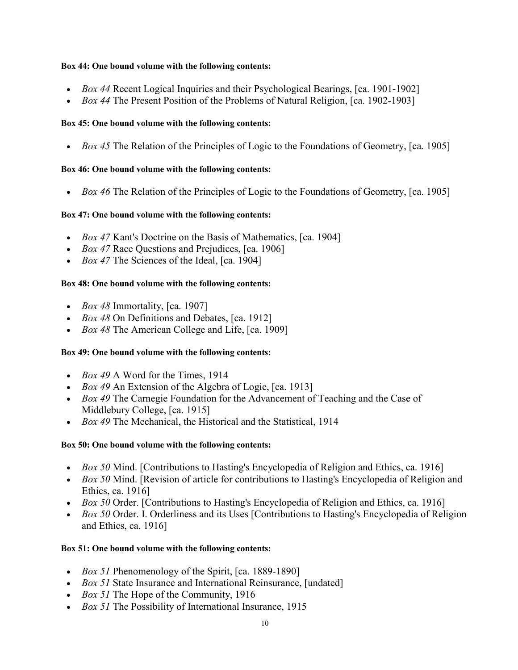#### **Box 44: One bound volume with the following contents:**

- *Box 44* Recent Logical Inquiries and their Psychological Bearings, [ca. 1901-1902]
- *Box 44* The Present Position of the Problems of Natural Religion, [ca. 1902-1903]

### **Box 45: One bound volume with the following contents:**

• *Box 45* The Relation of the Principles of Logic to the Foundations of Geometry, [ca. 1905]

### **Box 46: One bound volume with the following contents:**

• *Box 46* The Relation of the Principles of Logic to the Foundations of Geometry, [ca. 1905]

### **Box 47: One bound volume with the following contents:**

- *Box 47* Kant's Doctrine on the Basis of Mathematics, [ca. 1904]
- *Box 47* Race Questions and Prejudices, [ca. 1906]
- *Box 47* The Sciences of the Ideal, [ca. 1904]

### **Box 48: One bound volume with the following contents:**

- *Box 48* Immortality, [ca. 1907]
- *Box 48* On Definitions and Debates, [ca. 1912]
- *Box 48* The American College and Life, [ca. 1909]

### **Box 49: One bound volume with the following contents:**

- *Box 49* A Word for the Times, 1914
- *Box 49* An Extension of the Algebra of Logic, [ca. 1913]
- *Box 49* The Carnegie Foundation for the Advancement of Teaching and the Case of Middlebury College, [ca. 1915]
- *Box 49* The Mechanical, the Historical and the Statistical, 1914

## **Box 50: One bound volume with the following contents:**

- *Box 50* Mind. [Contributions to Hasting's Encyclopedia of Religion and Ethics, ca. 1916]
- *Box 50* Mind. [Revision of article for contributions to Hasting's Encyclopedia of Religion and Ethics, ca. 1916]
- *Box 50* Order. [Contributions to Hasting's Encyclopedia of Religion and Ethics, ca. 1916]
- *Box 50* Order. I. Orderliness and its Uses [Contributions to Hasting's Encyclopedia of Religion and Ethics, ca. 1916]

## **Box 51: One bound volume with the following contents:**

- *Box 51* Phenomenology of the Spirit, [ca. 1889-1890]
- *Box 51* State Insurance and International Reinsurance, [undated]
- *Box 51* The Hope of the Community, 1916
- *Box 51* The Possibility of International Insurance, 1915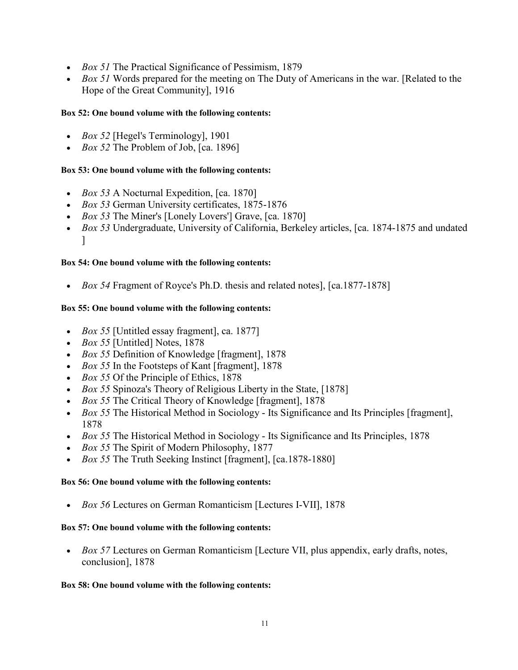- *Box 51* The Practical Significance of Pessimism, 1879
- *Box 51* Words prepared for the meeting on The Duty of Americans in the war. [Related to the Hope of the Great Community], 1916

### **Box 52: One bound volume with the following contents:**

- *Box 52* [Hegel's Terminology], 1901
- *Box 52* The Problem of Job, [ca. 1896]

### **Box 53: One bound volume with the following contents:**

- *Box 53* A Nocturnal Expedition, [ca. 1870]
- *Box 53* German University certificates, 1875-1876
- *Box 53* The Miner's [Lonely Lovers'] Grave, [ca. 1870]
- *Box 53* Undergraduate, University of California, Berkeley articles, [ca. 1874-1875 and undated ]

### **Box 54: One bound volume with the following contents:**

• *Box 54* Fragment of Royce's Ph.D. thesis and related notes], [ca.1877-1878]

### **Box 55: One bound volume with the following contents:**

- *Box 55* [Untitled essay fragment], ca. 1877]
- *Box 55* [Untitled] Notes, 1878
- *Box 55* Definition of Knowledge [fragment], 1878
- *Box 55* In the Footsteps of Kant [fragment], 1878
- *Box 55* Of the Principle of Ethics, 1878
- *Box 55* Spinoza's Theory of Religious Liberty in the State, [1878]
- *Box 55* The Critical Theory of Knowledge [fragment], 1878
- *Box 55* The Historical Method in Sociology Its Significance and Its Principles [fragment], 1878
- *Box 55* The Historical Method in Sociology Its Significance and Its Principles, 1878
- *Box 55* The Spirit of Modern Philosophy, 1877
- *Box 55* The Truth Seeking Instinct [fragment], [ca.1878-1880]

#### **Box 56: One bound volume with the following contents:**

• *Box 56* Lectures on German Romanticism [Lectures I-VII], 1878

#### **Box 57: One bound volume with the following contents:**

• *Box 57* Lectures on German Romanticism [Lecture VII, plus appendix, early drafts, notes, conclusion], 1878

#### **Box 58: One bound volume with the following contents:**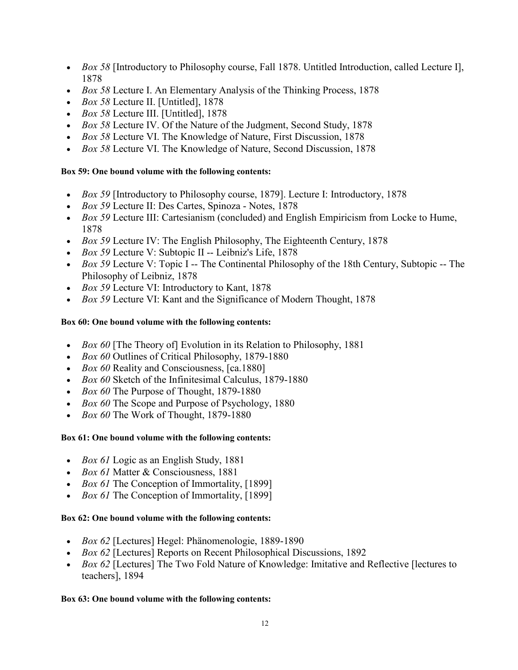- *Box 58* [Introductory to Philosophy course, Fall 1878. Untitled Introduction, called Lecture I], 1878
- *Box 58* Lecture I. An Elementary Analysis of the Thinking Process, 1878
- *Box 58* Lecture II. [Untitled], 1878
- *Box 58* Lecture III. [Untitled], 1878
- *Box 58* Lecture IV. Of the Nature of the Judgment, Second Study, 1878
- *Box 58* Lecture VI. The Knowledge of Nature, First Discussion, 1878
- *Box 58* Lecture VI. The Knowledge of Nature, Second Discussion, 1878

### **Box 59: One bound volume with the following contents:**

- *Box 59* [Introductory to Philosophy course, 1879]. Lecture I: Introductory, 1878
- *Box 59* Lecture II: Des Cartes, Spinoza Notes, 1878
- *Box 59* Lecture III: Cartesianism (concluded) and English Empiricism from Locke to Hume, 1878
- *Box 59* Lecture IV: The English Philosophy, The Eighteenth Century, 1878
- *Box 59* Lecture V: Subtopic II -- Leibniz's Life, 1878
- *Box 59* Lecture V: Topic I -- The Continental Philosophy of the 18th Century, Subtopic -- The Philosophy of Leibniz, 1878
- *Box 59* Lecture VI: Introductory to Kant, 1878
- *Box 59* Lecture VI: Kant and the Significance of Modern Thought, 1878

### **Box 60: One bound volume with the following contents:**

- *Box 60* [The Theory of] Evolution in its Relation to Philosophy, 1881
- *Box 60* Outlines of Critical Philosophy, 1879-1880
- *Box 60* Reality and Consciousness, [ca.1880]
- *Box 60* Sketch of the Infinitesimal Calculus, 1879-1880
- *Box 60* The Purpose of Thought, 1879-1880
- *Box 60* The Scope and Purpose of Psychology, 1880
- *Box 60* The Work of Thought, 1879-1880

## **Box 61: One bound volume with the following contents:**

- *Box 61* Logic as an English Study, 1881
- *Box 61* Matter & Consciousness, 1881
- *Box 61* The Conception of Immortality, [1899]
- *Box 61* The Conception of Immortality, [1899]

## **Box 62: One bound volume with the following contents:**

- *Box 62* [Lectures] Hegel: Phänomenologie, 1889-1890
- *Box 62* [Lectures] Reports on Recent Philosophical Discussions, 1892
- *Box 62* [Lectures] The Two Fold Nature of Knowledge: Imitative and Reflective [lectures to teachers], 1894

### **Box 63: One bound volume with the following contents:**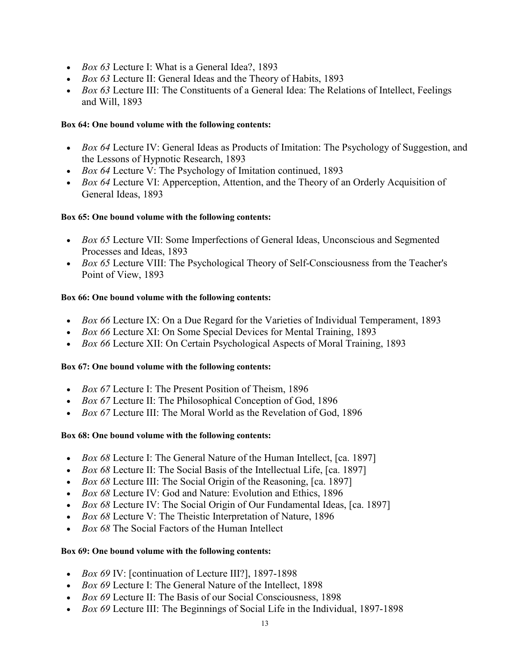- *Box 63* Lecture I: What is a General Idea?, 1893
- *Box 63* Lecture II: General Ideas and the Theory of Habits, 1893
- *Box 63* Lecture III: The Constituents of a General Idea: The Relations of Intellect, Feelings and Will, 1893

### **Box 64: One bound volume with the following contents:**

- *Box 64* Lecture IV: General Ideas as Products of Imitation: The Psychology of Suggestion, and the Lessons of Hypnotic Research, 1893
- *Box 64* Lecture V: The Psychology of Imitation continued, 1893
- *Box 64* Lecture VI: Apperception, Attention, and the Theory of an Orderly Acquisition of General Ideas, 1893

### **Box 65: One bound volume with the following contents:**

- *Box 65* Lecture VII: Some Imperfections of General Ideas, Unconscious and Segmented Processes and Ideas, 1893
- *Box 65* Lecture VIII: The Psychological Theory of Self-Consciousness from the Teacher's Point of View, 1893

### **Box 66: One bound volume with the following contents:**

- *Box 66* Lecture IX: On a Due Regard for the Varieties of Individual Temperament, 1893
- *Box 66* Lecture XI: On Some Special Devices for Mental Training, 1893
- *Box 66* Lecture XII: On Certain Psychological Aspects of Moral Training, 1893

#### **Box 67: One bound volume with the following contents:**

- *Box 67* Lecture I: The Present Position of Theism, 1896
- *Box 67* Lecture II: The Philosophical Conception of God, 1896
- *Box 67* Lecture III: The Moral World as the Revelation of God, 1896

### **Box 68: One bound volume with the following contents:**

- *Box 68* Lecture I: The General Nature of the Human Intellect, [ca. 1897]
- *Box 68* Lecture II: The Social Basis of the Intellectual Life, [ca. 1897]
- *Box 68* Lecture III: The Social Origin of the Reasoning, [ca. 1897]
- *Box 68* Lecture IV: God and Nature: Evolution and Ethics, 1896
- *Box 68* Lecture IV: The Social Origin of Our Fundamental Ideas, [ca. 1897]
- *Box 68* Lecture V: The Theistic Interpretation of Nature, 1896
- *Box 68* The Social Factors of the Human Intellect

### **Box 69: One bound volume with the following contents:**

- *Box 69* IV: [continuation of Lecture III?], 1897-1898
- *Box 69* Lecture I: The General Nature of the Intellect, 1898
- *Box 69* Lecture II: The Basis of our Social Consciousness, 1898
- *Box 69* Lecture III: The Beginnings of Social Life in the Individual, 1897-1898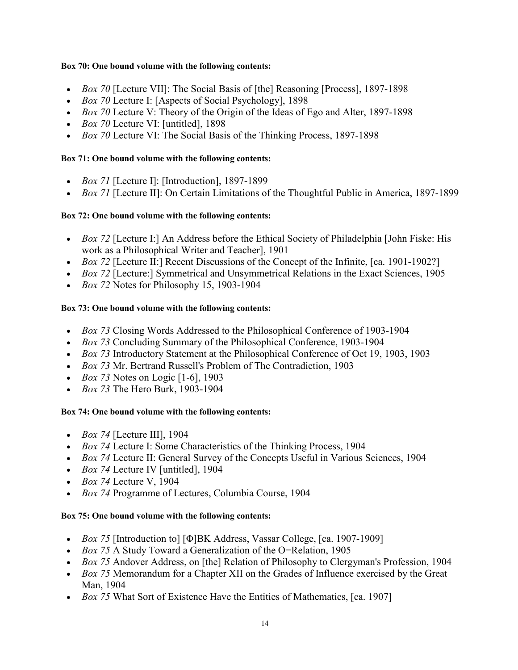#### **Box 70: One bound volume with the following contents:**

- *Box 70* [Lecture VII]: The Social Basis of [the] Reasoning [Process], 1897-1898
- *Box 70* Lecture I: [Aspects of Social Psychology], 1898
- *Box 70* Lecture V: Theory of the Origin of the Ideas of Ego and Alter, 1897-1898
- *Box 70* Lecture VI: [untitled], 1898
- *Box 70* Lecture VI: The Social Basis of the Thinking Process, 1897-1898

### **Box 71: One bound volume with the following contents:**

- *Box 71* [Lecture I]: [Introduction], 1897-1899
- *Box 71* [Lecture II]: On Certain Limitations of the Thoughtful Public in America, 1897-1899

### **Box 72: One bound volume with the following contents:**

- *Box 72* [Lecture I:] An Address before the Ethical Society of Philadelphia [John Fiske: His work as a Philosophical Writer and Teacher], 1901
- *Box 72* [Lecture II:] Recent Discussions of the Concept of the Infinite, [ca. 1901-1902?]
- *Box 72* [Lecture:] Symmetrical and Unsymmetrical Relations in the Exact Sciences, 1905
- *Box 72* Notes for Philosophy 15, 1903-1904

## **Box 73: One bound volume with the following contents:**

- *Box 73* Closing Words Addressed to the Philosophical Conference of 1903-1904
- *Box 73* Concluding Summary of the Philosophical Conference, 1903-1904
- *Box 73* Introductory Statement at the Philosophical Conference of Oct 19, 1903, 1903
- *Box 73* Mr. Bertrand Russell's Problem of The Contradiction, 1903
- *Box 73* Notes on Logic [1-6], 1903
- *Box 73* The Hero Burk, 1903-1904

## **Box 74: One bound volume with the following contents:**

- *Box 74* [Lecture III], 1904
- *Box 74* Lecture I: Some Characteristics of the Thinking Process, 1904
- *Box 74* Lecture II: General Survey of the Concepts Useful in Various Sciences, 1904
- *Box 74* Lecture IV [untitled], 1904
- *Box 74* Lecture V, 1904
- *Box 74* Programme of Lectures, Columbia Course, 1904

### **Box 75: One bound volume with the following contents:**

- *Box 75* [Introduction to] [Φ]BK Address, Vassar College, [ca. 1907-1909]
- *Box 75* A Study Toward a Generalization of the O=Relation, 1905
- *Box 75* Andover Address, on [the] Relation of Philosophy to Clergyman's Profession, 1904
- *Box 75* Memorandum for a Chapter XII on the Grades of Influence exercised by the Great Man, 1904
- *Box 75* What Sort of Existence Have the Entities of Mathematics, [ca. 1907]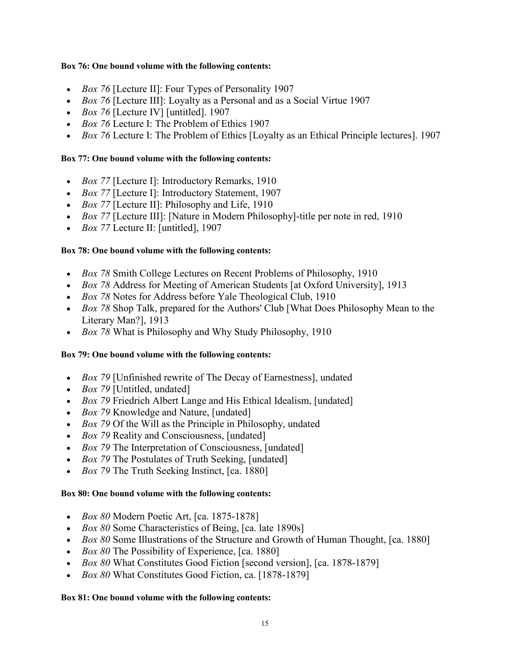#### **Box 76: One bound volume with the following contents:**

- *Box 76* [Lecture II]: Four Types of Personality 1907
- *Box 76* [Lecture III]: Loyalty as a Personal and as a Social Virtue 1907
- *Box 76* [Lecture IV] [untitled]. 1907
- *Box 76* Lecture I: The Problem of Ethics 1907
- *Box 76* Lecture I: The Problem of Ethics [Loyalty as an Ethical Principle lectures]. 1907

#### **Box 77: One bound volume with the following contents:**

- *Box 77* [Lecture I]: Introductory Remarks, 1910
- *Box 77* [Lecture I]: Introductory Statement, 1907
- *Box 77* [Lecture II]: Philosophy and Life, 1910
- *Box 77* [Lecture III]: [Nature in Modern Philosophy]-title per note in red, 1910
- *Box 77* Lecture II: [untitled], 1907

### **Box 78: One bound volume with the following contents:**

- *Box 78* Smith College Lectures on Recent Problems of Philosophy, 1910
- *Box 78* Address for Meeting of American Students [at Oxford University], 1913
- *Box 78* Notes for Address before Yale Theological Club, 1910
- *Box 78* Shop Talk, prepared for the Authors' Club [What Does Philosophy Mean to the Literary Man?], 1913
- *Box 78* What is Philosophy and Why Study Philosophy, 1910

#### **Box 79: One bound volume with the following contents:**

- *Box 79* [Unfinished rewrite of The Decay of Earnestness], undated
- *Box 79* [Untitled, undated]
- *Box 79* Friedrich Albert Lange and His Ethical Idealism, [undated]
- *Box 79* Knowledge and Nature, [undated]
- *Box 79* Of the Will as the Principle in Philosophy, undated
- *Box 79* Reality and Consciousness, [undated]
- *Box 79* The Interpretation of Consciousness, [undated]
- *Box 79* The Postulates of Truth Seeking, [undated]
- *Box 79* The Truth Seeking Instinct, [ca. 1880]

#### **Box 80: One bound volume with the following contents:**

- *Box 80* Modern Poetic Art, [ca. 1875-1878]
- *Box 80* Some Characteristics of Being, [ca. late 1890s]
- *Box 80* Some Illustrations of the Structure and Growth of Human Thought, [ca. 1880]
- *Box 80* The Possibility of Experience, [ca. 1880]
- *Box 80* What Constitutes Good Fiction [second version], [ca. 1878-1879]
- *Box 80* What Constitutes Good Fiction, ca. [1878-1879]

#### **Box 81: One bound volume with the following contents:**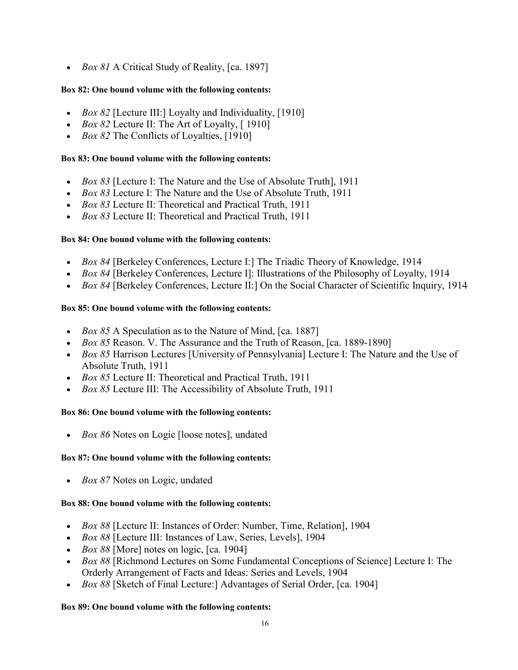• *Box 81* A Critical Study of Reality, [ca. 1897]

### **Box 82: One bound volume with the following contents:**

- *Box 82* [Lecture III:] Loyalty and Individuality, [1910]
- *Box 82* Lecture II: The Art of Loyalty, [1910]
- *Box 82* The Conflicts of Loyalties, [1910]

### **Box 83: One bound volume with the following contents:**

- *Box 83* [Lecture I: The Nature and the Use of Absolute Truth], 1911
- *Box 83* Lecture I: The Nature and the Use of Absolute Truth, 1911
- *Box 83* Lecture II: Theoretical and Practical Truth, 1911
- *Box 83* Lecture II: Theoretical and Practical Truth, 1911

### **Box 84: One bound volume with the following contents:**

- *Box 84* [Berkeley Conferences, Lecture I:] The Triadic Theory of Knowledge, 1914
- *Box 84* [Berkeley Conferences, Lecture I]: Illustrations of the Philosophy of Loyalty, 1914
- *Box 84* [Berkeley Conferences, Lecture II:] On the Social Character of Scientific Inquiry, 1914

### **Box 85: One bound volume with the following contents:**

- *Box 85* A Speculation as to the Nature of Mind, [ca. 1887]
- *Box 85* Reason. V. The Assurance and the Truth of Reason, [ca. 1889-1890]
- *Box 85* Harrison Lectures [University of Pennsylvania] Lecture I: The Nature and the Use of Absolute Truth, 1911
- *Box 85* Lecture II: Theoretical and Practical Truth, 1911
- *Box 85* Lecture III: The Accessibility of Absolute Truth, 1911

## **Box 86: One bound volume with the following contents:**

• *Box 86* Notes on Logic [loose notes], undated

## **Box 87: One bound volume with the following contents:**

• *Box 87* Notes on Logic, undated

## **Box 88: One bound volume with the following contents:**

- *Box 88* [Lecture II: Instances of Order: Number, Time, Relation], 1904
- *Box 88* [Lecture III: Instances of Law, Series, Levels], 1904
- *Box 88* [More] notes on logic, [ca. 1904]
- *Box 88* [Richmond Lectures on Some Fundamental Conceptions of Science] Lecture I: The Orderly Arrangement of Facts and Ideas: Series and Levels, 1904
- *Box 88* [Sketch of Final Lecture:] Advantages of Serial Order, [ca. 1904]

## **Box 89: One bound volume with the following contents:**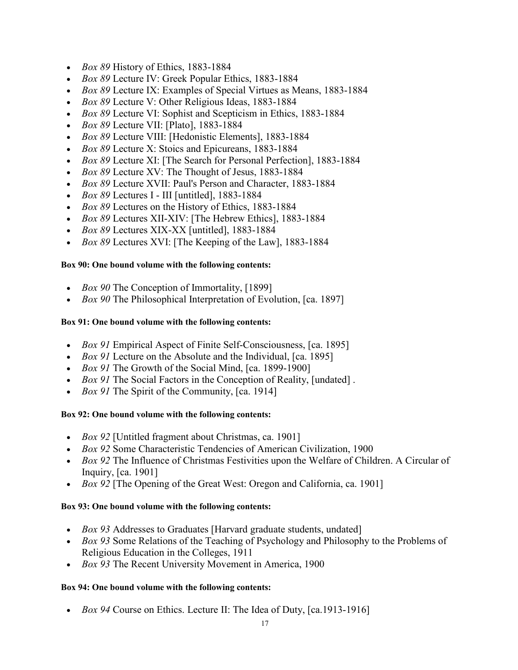- *Box 89* History of Ethics, 1883-1884
- *Box 89* Lecture IV: Greek Popular Ethics, 1883-1884
- *Box 89* Lecture IX: Examples of Special Virtues as Means, 1883-1884
- *Box 89* Lecture V: Other Religious Ideas, 1883-1884
- *Box 89* Lecture VI: Sophist and Scepticism in Ethics, 1883-1884
- *Box 89* Lecture VII: [Plato], 1883-1884
- *Box 89* Lecture VIII: [Hedonistic Elements], 1883-1884
- *Box 89* Lecture X: Stoics and Epicureans, 1883-1884
- *Box 89* Lecture XI: [The Search for Personal Perfection], 1883-1884
- *Box 89* Lecture XV: The Thought of Jesus, 1883-1884
- *Box 89* Lecture XVII: Paul's Person and Character, 1883-1884
- *Box 89* Lectures I III [untitled], 1883-1884
- *Box 89* Lectures on the History of Ethics, 1883-1884
- *Box 89* Lectures XII-XIV: [The Hebrew Ethics], 1883-1884
- *Box 89* Lectures XIX-XX [untitled], 1883-1884
- *Box 89* Lectures XVI: [The Keeping of the Law], 1883-1884

### **Box 90: One bound volume with the following contents:**

- *Box 90* The Conception of Immortality, [1899]
- *Box 90* The Philosophical Interpretation of Evolution, [ca. 1897]

### **Box 91: One bound volume with the following contents:**

- *Box 91* Empirical Aspect of Finite Self-Consciousness, [ca. 1895]
- *Box 91* Lecture on the Absolute and the Individual, [ca. 1895]
- *Box 91* The Growth of the Social Mind, [ca. 1899-1900]
- *Box 91* The Social Factors in the Conception of Reality, [undated] .
- *Box 91* The Spirit of the Community, [ca. 1914]

### **Box 92: One bound volume with the following contents:**

- *Box 92* [Untitled fragment about Christmas, ca. 1901]
- *Box 92* Some Characteristic Tendencies of American Civilization, 1900
- *Box 92* The Influence of Christmas Festivities upon the Welfare of Children. A Circular of Inquiry, [ca. 1901]
- *Box 92* [The Opening of the Great West: Oregon and California, ca. 1901]

### **Box 93: One bound volume with the following contents:**

- *Box 93* Addresses to Graduates [Harvard graduate students, undated]
- *Box 93* Some Relations of the Teaching of Psychology and Philosophy to the Problems of Religious Education in the Colleges, 1911
- *Box 93* The Recent University Movement in America, 1900

### **Box 94: One bound volume with the following contents:**

• *Box 94* Course on Ethics. Lecture II: The Idea of Duty, [ca.1913-1916]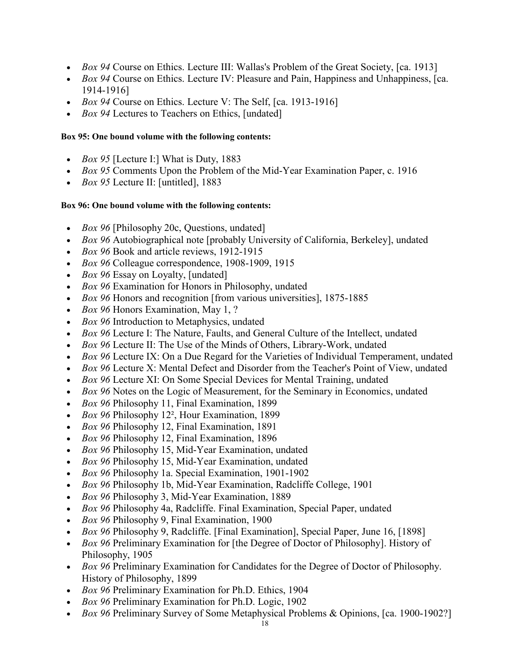- *Box 94* Course on Ethics. Lecture III: Wallas's Problem of the Great Society, [ca. 1913]
- *Box 94* Course on Ethics. Lecture IV: Pleasure and Pain, Happiness and Unhappiness, [ca. 1914-1916]
- *Box 94* Course on Ethics. Lecture V: The Self, [ca. 1913-1916]
- *Box 94* Lectures to Teachers on Ethics, [undated]

### **Box 95: One bound volume with the following contents:**

- *Box 95* [Lecture I:] What is Duty, 1883
- *Box 95* Comments Upon the Problem of the Mid-Year Examination Paper, c. 1916
- *Box 95* Lecture II: [untitled], 1883

### **Box 96: One bound volume with the following contents:**

- *Box 96* [Philosophy 20c, Questions, undated]
- *Box 96* Autobiographical note [probably University of California, Berkeley], undated
- *Box 96* Book and article reviews, 1912-1915
- *Box 96* Colleague correspondence, 1908-1909, 1915
- *Box 96* Essay on Loyalty, [undated]
- *Box 96* Examination for Honors in Philosophy, undated
- *Box 96* Honors and recognition [from various universities], 1875-1885
- *Box 96* Honors Examination, May 1, ?
- *Box 96* Introduction to Metaphysics, undated
- *Box 96* Lecture I: The Nature, Faults, and General Culture of the Intellect, undated
- *Box 96* Lecture II: The Use of the Minds of Others, Library-Work, undated
- *Box 96* Lecture IX: On a Due Regard for the Varieties of Individual Temperament, undated
- *Box 96* Lecture X: Mental Defect and Disorder from the Teacher's Point of View, undated
- *Box 96* Lecture XI: On Some Special Devices for Mental Training, undated
- *Box 96* Notes on the Logic of Measurement, for the Seminary in Economics, undated
- *Box 96* Philosophy 11, Final Examination, 1899
- *Box 96* Philosophy 12², Hour Examination, 1899
- *Box 96* Philosophy 12, Final Examination, 1891
- *Box 96* Philosophy 12, Final Examination, 1896
- *Box 96* Philosophy 15, Mid-Year Examination, undated
- *Box 96* Philosophy 15, Mid-Year Examination, undated
- *Box 96* Philosophy 1a. Special Examination, 1901-1902
- *Box 96* Philosophy 1b, Mid-Year Examination, Radcliffe College, 1901
- *Box 96* Philosophy 3, Mid-Year Examination, 1889
- *Box 96* Philosophy 4a, Radcliffe. Final Examination, Special Paper, undated
- *Box 96* Philosophy 9, Final Examination, 1900
- *Box 96* Philosophy 9, Radcliffe. [Final Examination], Special Paper, June 16, [1898]
- *Box 96* Preliminary Examination for [the Degree of Doctor of Philosophy]. History of Philosophy, 1905
- *Box 96* Preliminary Examination for Candidates for the Degree of Doctor of Philosophy. History of Philosophy, 1899
- *Box 96* Preliminary Examination for Ph.D. Ethics, 1904
- *Box 96* Preliminary Examination for Ph.D. Logic, 1902
- *Box 96* Preliminary Survey of Some Metaphysical Problems & Opinions, [ca. 1900-1902?]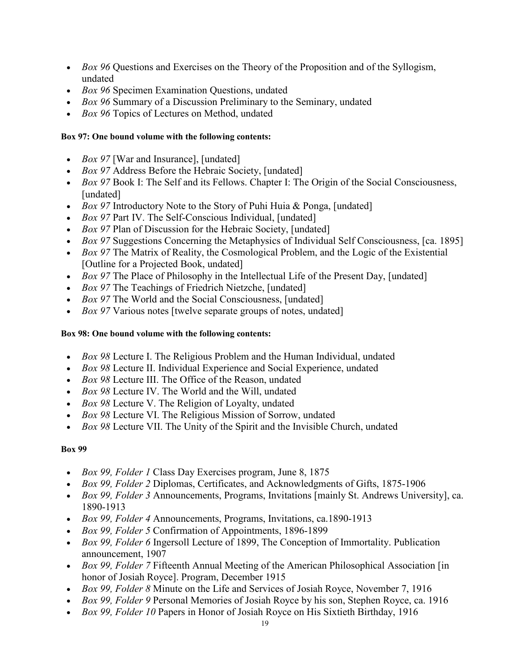- *Box 96* Questions and Exercises on the Theory of the Proposition and of the Syllogism, undated
- *Box 96* Specimen Examination Questions, undated
- *Box 96* Summary of a Discussion Preliminary to the Seminary, undated
- *Box 96* Topics of Lectures on Method, undated

### **Box 97: One bound volume with the following contents:**

- *Box 97* [War and Insurance], [undated]
- *Box 97* Address Before the Hebraic Society, [undated]
- *Box 97* Book I: The Self and its Fellows. Chapter I: The Origin of the Social Consciousness, [undated]
- *Box 97* Introductory Note to the Story of Puhi Huia & Ponga, [undated]
- *Box 97* Part IV. The Self-Conscious Individual, [undated]
- *Box 97* Plan of Discussion for the Hebraic Society, [undated]
- *Box 97* Suggestions Concerning the Metaphysics of Individual Self Consciousness, [ca. 1895]
- *Box 97* The Matrix of Reality, the Cosmological Problem, and the Logic of the Existential [Outline for a Projected Book, undated]
- *Box 97* The Place of Philosophy in the Intellectual Life of the Present Day, [undated]
- *Box 97* The Teachings of Friedrich Nietzche, [undated]
- *Box 97* The World and the Social Consciousness, [undated]
- *Box 97* Various notes [twelve separate groups of notes, undated]

## **Box 98: One bound volume with the following contents:**

- *Box 98* Lecture I. The Religious Problem and the Human Individual, undated
- *Box 98* Lecture II. Individual Experience and Social Experience, undated
- *Box 98* Lecture III. The Office of the Reason, undated
- *Box 98* Lecture IV. The World and the Will, undated
- *Box 98* Lecture V. The Religion of Loyalty, undated
- *Box 98* Lecture VI. The Religious Mission of Sorrow, undated
- *Box 98* Lecture VII. The Unity of the Spirit and the Invisible Church, undated

- *Box 99, Folder 1* Class Day Exercises program, June 8, 1875
- *Box 99, Folder 2* Diplomas, Certificates, and Acknowledgments of Gifts, 1875-1906
- *Box 99, Folder 3* Announcements, Programs, Invitations [mainly St. Andrews University], ca. 1890-1913
- *Box 99, Folder 4* Announcements, Programs, Invitations, ca.1890-1913
- *Box 99, Folder 5* Confirmation of Appointments, 1896-1899
- *Box 99, Folder 6* Ingersoll Lecture of 1899, The Conception of Immortality. Publication announcement, 1907
- *Box 99, Folder 7* Fifteenth Annual Meeting of the American Philosophical Association [in honor of Josiah Royce]. Program, December 1915
- *Box 99, Folder 8* Minute on the Life and Services of Josiah Royce, November 7, 1916
- *Box 99, Folder 9* Personal Memories of Josiah Royce by his son, Stephen Royce, ca. 1916
- *Box 99, Folder 10* Papers in Honor of Josiah Royce on His Sixtieth Birthday, 1916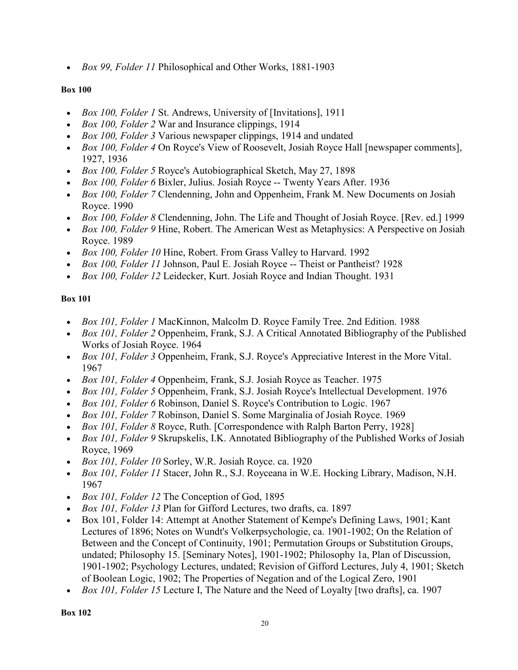• *Box 99, Folder 11* Philosophical and Other Works, 1881-1903

### **Box 100**

- *Box 100, Folder 1* St. Andrews, University of [Invitations], 1911
- *Box 100, Folder 2* War and Insurance clippings, 1914
- *Box 100, Folder 3* Various newspaper clippings, 1914 and undated
- *Box 100, Folder 4* On Royce's View of Roosevelt, Josiah Royce Hall [newspaper comments], 1927, 1936
- *Box 100, Folder 5* Royce's Autobiographical Sketch, May 27, 1898
- *Box 100, Folder 6* Bixler, Julius. Josiah Royce -- Twenty Years After. 1936
- *Box 100, Folder 7* Clendenning, John and Oppenheim, Frank M. New Documents on Josiah Royce. 1990
- *Box 100, Folder 8* Clendenning, John. The Life and Thought of Josiah Royce. [Rev. ed.] 1999
- *Box 100, Folder 9* Hine, Robert. The American West as Metaphysics: A Perspective on Josiah Royce. 1989
- *Box 100, Folder 10* Hine, Robert. From Grass Valley to Harvard. 1992
- *Box 100, Folder 11* Johnson, Paul E. Josiah Royce -- Theist or Pantheist? 1928
- *Box 100, Folder 12* Leidecker, Kurt. Josiah Royce and Indian Thought. 1931

- *Box 101, Folder 1* MacKinnon, Malcolm D. Royce Family Tree. 2nd Edition. 1988
- *Box 101, Folder 2* Oppenheim, Frank, S.J. A Critical Annotated Bibliography of the Published Works of Josiah Royce. 1964
- *Box 101, Folder 3* Oppenheim, Frank, S.J. Royce's Appreciative Interest in the More Vital. 1967
- *Box 101, Folder 4* Oppenheim, Frank, S.J. Josiah Royce as Teacher. 1975
- *Box 101, Folder 5* Oppenheim, Frank, S.J. Josiah Royce's Intellectual Development. 1976
- *Box 101, Folder 6* Robinson, Daniel S. Royce's Contribution to Logic. 1967
- *Box 101, Folder 7* Robinson, Daniel S. Some Marginalia of Josiah Royce. 1969
- *Box 101, Folder 8* Royce, Ruth. [Correspondence with Ralph Barton Perry, 1928]
- *Box 101, Folder 9* Skrupskelis, I.K. Annotated Bibliography of the Published Works of Josiah Royce, 1969
- *Box 101, Folder 10* Sorley, W.R. Josiah Royce. ca. 1920
- *Box 101, Folder 11* Stacer, John R., S.J. Royceana in W.E. Hocking Library, Madison, N.H. 1967
- *Box 101, Folder 12* The Conception of God, 1895
- *Box 101, Folder 13* Plan for Gifford Lectures, two drafts, ca. 1897
- Box 101, Folder 14: Attempt at Another Statement of Kempe's Defining Laws, 1901; Kant Lectures of 1896; Notes on Wundt's Volkerpsychologie, ca. 1901-1902; On the Relation of Between and the Concept of Continuity, 1901; Permutation Groups or Substitution Groups, undated; Philosophy 15. [Seminary Notes], 1901-1902; Philosophy 1a, Plan of Discussion, 1901-1902; Psychology Lectures, undated; Revision of Gifford Lectures, July 4, 1901; Sketch of Boolean Logic, 1902; The Properties of Negation and of the Logical Zero, 1901
- *Box 101, Folder 15* Lecture I, The Nature and the Need of Loyalty [two drafts], ca. 1907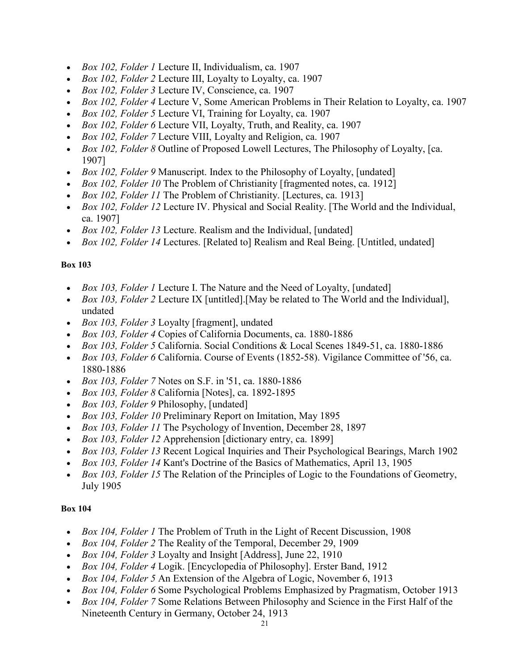- *Box 102, Folder 1* Lecture II, Individualism, ca. 1907
- *Box 102, Folder 2* Lecture III, Loyalty to Loyalty, ca. 1907
- *Box 102, Folder 3* Lecture IV, Conscience, ca. 1907
- *Box 102, Folder 4* Lecture V, Some American Problems in Their Relation to Loyalty, ca. 1907
- *Box 102, Folder 5* Lecture VI, Training for Loyalty, ca. 1907
- *Box 102, Folder 6* Lecture VII, Loyalty, Truth, and Reality, ca. 1907
- *Box 102, Folder 7* Lecture VIII, Loyalty and Religion, ca. 1907
- *Box 102, Folder 8* Outline of Proposed Lowell Lectures, The Philosophy of Loyalty, [ca. 1907]
- *Box 102, Folder 9* Manuscript. Index to the Philosophy of Loyalty, [undated]
- *Box 102, Folder 10* The Problem of Christianity [fragmented notes, ca. 1912]
- *Box 102, Folder 11* The Problem of Christianity. [Lectures, ca. 1913]
- *Box 102, Folder 12* Lecture IV. Physical and Social Reality. [The World and the Individual, ca. 1907]
- *Box 102, Folder 13* Lecture. Realism and the Individual, [undated]
- *Box 102, Folder 14* Lectures. [Related to] Realism and Real Being. [Untitled, undated]

- *Box 103, Folder 1* Lecture I. The Nature and the Need of Loyalty, [undated]
- *Box 103, Folder 2* Lecture IX [untitled].[May be related to The World and the Individual], undated
- *Box 103, Folder 3* Loyalty [fragment], undated
- *Box 103, Folder 4* Copies of California Documents, ca. 1880-1886
- *Box 103, Folder 5* California. Social Conditions & Local Scenes 1849-51, ca. 1880-1886
- *Box 103, Folder 6* California. Course of Events (1852-58). Vigilance Committee of '56, ca. 1880-1886
- *Box 103, Folder 7* Notes on S.F. in '51, ca. 1880-1886
- *Box 103, Folder 8* California [Notes], ca. 1892-1895
- *Box 103, Folder 9* Philosophy, [undated]
- *Box 103, Folder 10* Preliminary Report on Imitation, May 1895
- *Box 103, Folder 11* The Psychology of Invention, December 28, 1897
- *Box 103, Folder 12* Apprehension [dictionary entry, ca. 1899]
- *Box 103, Folder 13* Recent Logical Inquiries and Their Psychological Bearings, March 1902
- *Box 103, Folder 14* Kant's Doctrine of the Basics of Mathematics, April 13, 1905
- *Box 103, Folder 15* The Relation of the Principles of Logic to the Foundations of Geometry, July 1905

- *Box 104, Folder 1* The Problem of Truth in the Light of Recent Discussion, 1908
- *Box 104, Folder 2* The Reality of the Temporal, December 29, 1909
- *Box 104, Folder 3* Loyalty and Insight [Address], June 22, 1910
- *Box 104, Folder 4* Logik. [Encyclopedia of Philosophy]. Erster Band, 1912
- *Box 104, Folder 5* An Extension of the Algebra of Logic, November 6, 1913
- *Box 104, Folder 6* Some Psychological Problems Emphasized by Pragmatism, October 1913
- *Box 104, Folder 7* Some Relations Between Philosophy and Science in the First Half of the Nineteenth Century in Germany, October 24, 1913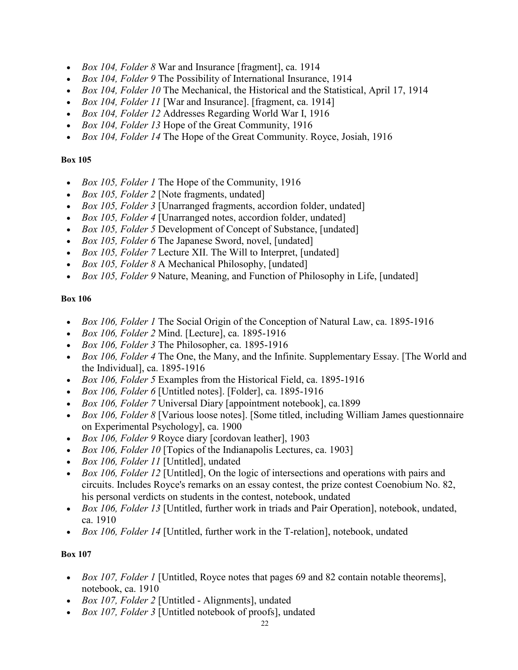- *Box 104, Folder 8* War and Insurance [fragment], ca. 1914
- *Box 104, Folder 9* The Possibility of International Insurance, 1914
- *Box 104, Folder 10* The Mechanical, the Historical and the Statistical, April 17, 1914
- *Box 104, Folder 11* [War and Insurance]. [fragment, ca. 1914]
- *Box 104, Folder 12* Addresses Regarding World War I, 1916
- *Box 104, Folder 13* Hope of the Great Community, 1916
- *Box 104, Folder 14* The Hope of the Great Community. Royce, Josiah, 1916

- *Box 105, Folder 1* The Hope of the Community, 1916
- *Box 105, Folder 2* [Note fragments, undated]
- *Box 105, Folder 3* [Unarranged fragments, accordion folder, undated]
- *Box 105, Folder 4* [Unarranged notes, accordion folder, undated]
- *Box 105, Folder 5* Development of Concept of Substance, [undated]
- *Box 105, Folder 6* The Japanese Sword, novel, [undated]
- *Box 105, Folder 7* Lecture XII. The Will to Interpret, [undated]
- *Box 105, Folder 8* A Mechanical Philosophy, [undated]
- *Box 105, Folder 9* Nature, Meaning, and Function of Philosophy in Life, [undated]

### **Box 106**

- *Box 106, Folder 1* The Social Origin of the Conception of Natural Law, ca. 1895-1916
- *Box 106, Folder 2* Mind. [Lecture], ca. 1895-1916
- *Box 106, Folder 3* The Philosopher, ca. 1895-1916
- *Box 106, Folder 4* The One, the Many, and the Infinite. Supplementary Essay. [The World and the Individual], ca. 1895-1916
- *Box 106, Folder 5* Examples from the Historical Field, ca. 1895-1916
- *Box 106, Folder 6* [Untitled notes]. [Folder], ca. 1895-1916
- *Box 106, Folder 7* Universal Diary [appointment notebook], ca.1899
- *Box 106, Folder 8* [Various loose notes]. [Some titled, including William James questionnaire on Experimental Psychology], ca. 1900
- *Box 106, Folder 9* Royce diary [cordovan leather], 1903
- *Box 106, Folder 10* [Topics of the Indianapolis Lectures, ca. 1903]
- *Box 106, Folder 11* [Untitled], undated
- *Box 106, Folder 12* [Untitled], On the logic of intersections and operations with pairs and circuits. Includes Royce's remarks on an essay contest, the prize contest Coenobium No. 82, his personal verdicts on students in the contest, notebook, undated
- *Box 106, Folder 13* [Untitled, further work in triads and Pair Operation], notebook, undated, ca. 1910
- *Box 106, Folder 14* [Untitled, further work in the T-relation], notebook, undated

- *Box 107, Folder 1* [Untitled, Royce notes that pages 69 and 82 contain notable theorems], notebook, ca. 1910
- *Box 107, Folder 2* [Untitled Alignments], undated
- *Box 107, Folder 3* [Untitled notebook of proofs], undated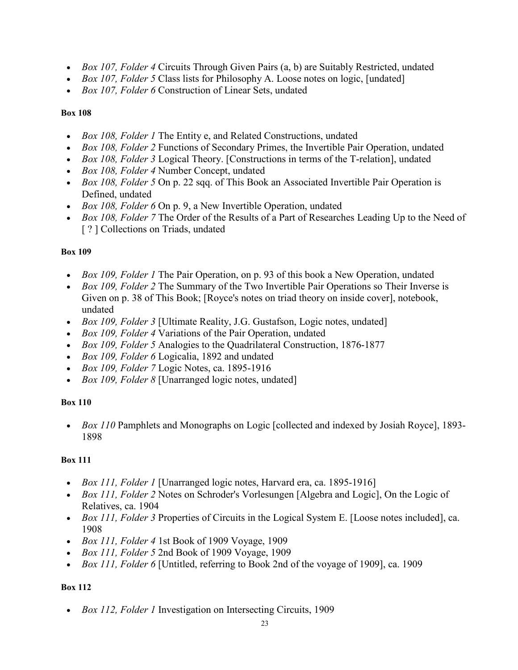- *Box 107, Folder 4* Circuits Through Given Pairs (a, b) are Suitably Restricted, undated
- *Box 107, Folder 5* Class lists for Philosophy A. Loose notes on logic, [undated]
- *Box 107, Folder 6* Construction of Linear Sets, undated

- *Box 108, Folder 1* The Entity e, and Related Constructions, undated
- *Box 108, Folder 2* Functions of Secondary Primes, the Invertible Pair Operation, undated
- *Box 108, Folder 3* Logical Theory. [Constructions in terms of the T-relation], undated
- *Box 108, Folder 4* Number Concept, undated
- *Box 108, Folder 5* On p. 22 sqq. of This Book an Associated Invertible Pair Operation is Defined, undated
- *Box 108, Folder 6* On p. 9, a New Invertible Operation, undated
- *Box 108, Folder 7* The Order of the Results of a Part of Researches Leading Up to the Need of [? ] Collections on Triads, undated

## **Box 109**

- *Box 109, Folder 1* The Pair Operation, on p. 93 of this book a New Operation, undated
- *Box 109, Folder 2* The Summary of the Two Invertible Pair Operations so Their Inverse is Given on p. 38 of This Book; [Royce's notes on triad theory on inside cover], notebook, undated
- *Box 109, Folder 3* [Ultimate Reality, J.G. Gustafson, Logic notes, undated]
- *Box 109, Folder 4* Variations of the Pair Operation, undated
- *Box 109, Folder 5* Analogies to the Quadrilateral Construction, 1876-1877
- *Box 109, Folder 6* Logicalia, 1892 and undated
- *Box 109, Folder 7* Logic Notes, ca. 1895-1916
- *Box 109, Folder 8* [Unarranged logic notes, undated]

## **Box 110**

• *Box 110* Pamphlets and Monographs on Logic [collected and indexed by Josiah Royce], 1893- 1898

## **Box 111**

- *Box 111, Folder 1* [Unarranged logic notes, Harvard era, ca. 1895-1916]
- *Box 111, Folder 2* Notes on Schroder's Vorlesungen [Algebra and Logic], On the Logic of Relatives, ca. 1904
- *Box 111, Folder 3* Properties of Circuits in the Logical System E. [Loose notes included], ca. 1908
- *Box 111, Folder 4* 1st Book of 1909 Voyage, 1909
- *Box 111, Folder 5* 2nd Book of 1909 Voyage, 1909
- *Box 111, Folder 6* [Untitled, referring to Book 2nd of the voyage of 1909], ca. 1909

## **Box 112**

• *Box 112, Folder 1* Investigation on Intersecting Circuits, 1909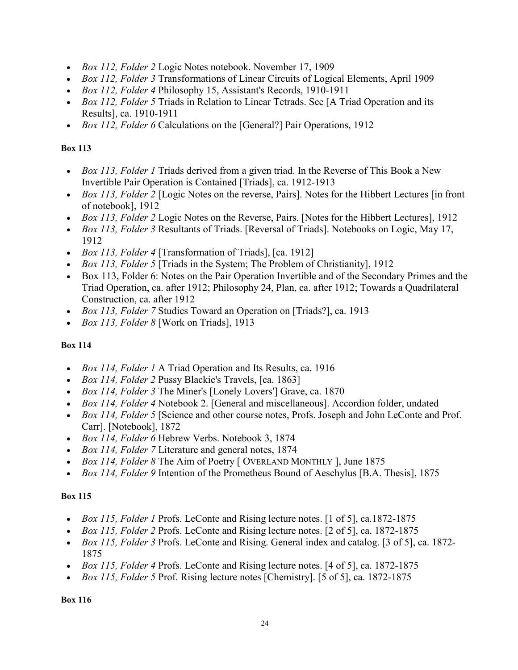- *Box 112, Folder 2* Logic Notes notebook. November 17, 1909
- *Box 112, Folder 3* Transformations of Linear Circuits of Logical Elements, April 1909
- *Box 112, Folder 4* Philosophy 15, Assistant's Records, 1910-1911
- *Box 112, Folder 5* Triads in Relation to Linear Tetrads. See [A Triad Operation and its Results], ca. 1910-1911
- *Box 112, Folder 6* Calculations on the [General?] Pair Operations, 1912

- *Box 113, Folder 1* Triads derived from a given triad. In the Reverse of This Book a New Invertible Pair Operation is Contained [Triads], ca. 1912-1913
- *Box 113, Folder 2* [Logic Notes on the reverse, Pairs]. Notes for the Hibbert Lectures [in front of notebook], 1912
- *Box 113, Folder 2* Logic Notes on the Reverse, Pairs. [Notes for the Hibbert Lectures], 1912
- *Box 113, Folder 3* Resultants of Triads. [Reversal of Triads]. Notebooks on Logic, May 17, 1912
- *Box 113, Folder 4* [Transformation of Triads], [ca. 1912]
- *Box 113, Folder 5* [Triads in the System; The Problem of Christianity], 1912
- Box 113, Folder 6: Notes on the Pair Operation Invertible and of the Secondary Primes and the Triad Operation, ca. after 1912; Philosophy 24, Plan, ca. after 1912; Towards a Quadrilateral Construction, ca. after 1912
- *Box 113, Folder 7* Studies Toward an Operation on [Triads?], ca. 1913
- *Box 113, Folder 8* [Work on Triads], 1913

## **Box 114**

- *Box 114, Folder 1* A Triad Operation and Its Results, ca. 1916
- *Box 114, Folder 2* Pussy Blackie's Travels, [ca. 1863]
- *Box 114, Folder 3* The Miner's [Lonely Lovers'] Grave, ca. 1870
- *Box 114, Folder 4* Notebook 2. [General and miscellaneous]. Accordion folder, undated
- *Box 114, Folder 5* [Science and other course notes, Profs. Joseph and John LeConte and Prof. Carr]. [Notebook], 1872
- *Box 114, Folder 6* Hebrew Verbs. Notebook 3, 1874
- *Box 114, Folder 7* Literature and general notes, 1874
- *Box 114, Folder 8* The Aim of Poetry [ OVERLAND MONTHLY ], June 1875
- *Box 114, Folder 9* Intention of the Prometheus Bound of Aeschylus [B.A. Thesis], 1875

## **Box 115**

- *Box 115, Folder 1* Profs. LeConte and Rising lecture notes. [1 of 5], ca.1872-1875
- *Box 115, Folder 2* Profs. LeConte and Rising lecture notes. [2 of 5], ca. 1872-1875
- *Box 115, Folder 3* Profs. LeConte and Rising. General index and catalog. [3 of 5], ca. 1872- 1875
- *Box 115, Folder 4* Profs. LeConte and Rising lecture notes. [4 of 5], ca. 1872-1875
- *Box 115, Folder 5* Prof. Rising lecture notes [Chemistry]. [5 of 5], ca. 1872-1875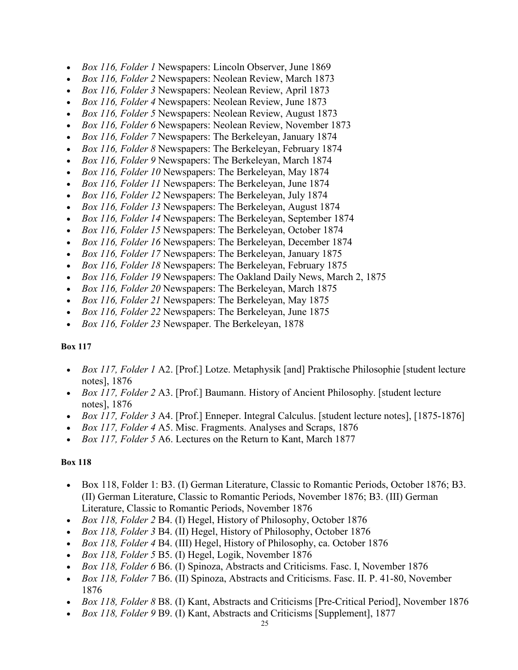- *Box 116, Folder 1* Newspapers: Lincoln Observer, June 1869
- *Box 116, Folder 2* Newspapers: Neolean Review, March 1873
- *Box 116, Folder 3* Newspapers: Neolean Review, April 1873
- *Box 116, Folder 4* Newspapers: Neolean Review, June 1873
- *Box 116, Folder 5* Newspapers: Neolean Review, August 1873
- *Box 116, Folder 6* Newspapers: Neolean Review, November 1873
- *Box 116, Folder 7* Newspapers: The Berkeleyan, January 1874
- *Box 116, Folder 8* Newspapers: The Berkeleyan, February 1874
- *Box 116, Folder 9* Newspapers: The Berkeleyan, March 1874
- *Box 116, Folder 10* Newspapers: The Berkeleyan, May 1874
- *Box 116, Folder 11* Newspapers: The Berkeleyan, June 1874
- *Box 116, Folder 12* Newspapers: The Berkeleyan, July 1874
- *Box 116, Folder 13* Newspapers: The Berkeleyan, August 1874
- *Box 116, Folder 14* Newspapers: The Berkeleyan, September 1874
- *Box 116, Folder 15* Newspapers: The Berkeleyan, October 1874
- *Box 116, Folder 16* Newspapers: The Berkeleyan, December 1874
- *Box 116, Folder 17* Newspapers: The Berkeleyan, January 1875
- *Box 116, Folder 18* Newspapers: The Berkeleyan, February 1875
- *Box 116, Folder 19* Newspapers: The Oakland Daily News, March 2, 1875
- *Box 116, Folder 20* Newspapers: The Berkeleyan, March 1875
- *Box 116, Folder 21* Newspapers: The Berkeleyan, May 1875
- *Box 116, Folder 22* Newspapers: The Berkeleyan, June 1875
- *Box 116, Folder 23* Newspaper. The Berkeleyan, 1878

- *Box 117, Folder 1* A2. [Prof.] Lotze. Metaphysik [and] Praktische Philosophie [student lecture notes], 1876
- *Box 117, Folder 2* A3. [Prof.] Baumann. History of Ancient Philosophy. [student lecture notes], 1876
- *Box 117, Folder 3* A4. [Prof.] Enneper. Integral Calculus. [student lecture notes], [1875-1876]
- *Box 117, Folder 4* A5. Misc. Fragments. Analyses and Scraps, 1876
- *Box 117, Folder 5* A6. Lectures on the Return to Kant, March 1877

- Box 118, Folder 1: B3. (I) German Literature, Classic to Romantic Periods, October 1876; B3. (II) German Literature, Classic to Romantic Periods, November 1876; B3. (III) German Literature, Classic to Romantic Periods, November 1876
- *Box 118, Folder 2* B4. (I) Hegel, History of Philosophy, October 1876
- *Box 118, Folder 3* B4. (II) Hegel, History of Philosophy, October 1876
- *Box 118, Folder 4* B4. (III) Hegel, History of Philosophy, ca. October 1876
- *Box 118, Folder 5* B5. (I) Hegel, Logik, November 1876
- *Box 118, Folder 6* B6. (I) Spinoza, Abstracts and Criticisms. Fasc. I, November 1876
- *Box 118, Folder 7* B6. (II) Spinoza, Abstracts and Criticisms. Fasc. II. P. 41-80, November 1876
- *Box 118, Folder 8* B8. (I) Kant, Abstracts and Criticisms [Pre-Critical Period], November 1876
- *Box 118, Folder 9* B9. (I) Kant, Abstracts and Criticisms [Supplement], 1877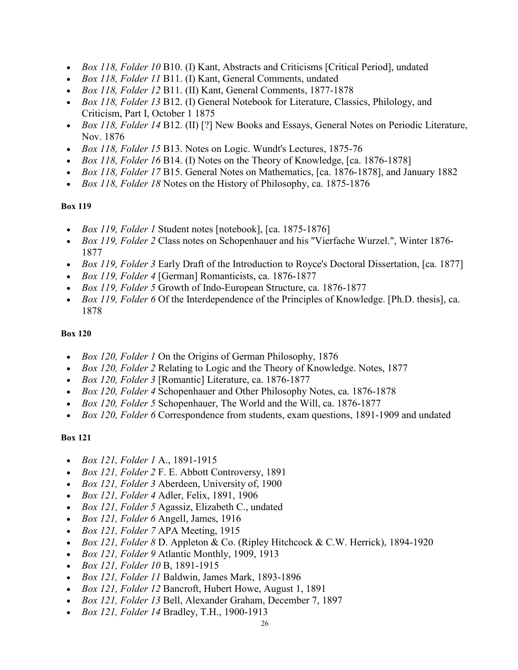- *Box 118, Folder 10* B10. (I) Kant, Abstracts and Criticisms [Critical Period], undated
- *Box 118, Folder 11* B11. (I) Kant, General Comments, undated
- *Box 118, Folder 12* B11. (II) Kant, General Comments, 1877-1878
- *Box 118, Folder 13* B12. (I) General Notebook for Literature, Classics, Philology, and Criticism, Part I, October 1 1875
- *Box 118, Folder 14* B12. (II) [?] New Books and Essays, General Notes on Periodic Literature, Nov. 1876
- *Box 118, Folder 15* B13. Notes on Logic. Wundt's Lectures, 1875-76
- *Box 118, Folder 16* B14. (I) Notes on the Theory of Knowledge, [ca. 1876-1878]
- *Box 118, Folder 17* B15. General Notes on Mathematics, [ca. 1876-1878], and January 1882
- *Box 118, Folder 18* Notes on the History of Philosophy, ca. 1875-1876

- *Box 119, Folder 1* Student notes [notebook], [ca. 1875-1876]
- *Box 119, Folder 2* Class notes on Schopenhauer and his "Vierfache Wurzel.", Winter 1876- 1877
- *Box 119, Folder 3* Early Draft of the Introduction to Royce's Doctoral Dissertation, [ca. 1877]
- *Box 119, Folder 4* [German] Romanticists, ca. 1876-1877
- *Box 119, Folder 5* Growth of Indo-European Structure, ca. 1876-1877
- *Box 119, Folder 6* Of the Interdependence of the Principles of Knowledge. [Ph.D. thesis], ca. 1878

### **Box 120**

- *Box 120, Folder 1* On the Origins of German Philosophy, 1876
- *Box 120, Folder 2* Relating to Logic and the Theory of Knowledge. Notes, 1877
- *Box 120, Folder 3* [Romantic] Literature, ca. 1876-1877
- *Box 120, Folder 4* Schopenhauer and Other Philosophy Notes, ca. 1876-1878
- *Box 120, Folder 5* Schopenhauer, The World and the Will, ca. 1876-1877
- *Box 120, Folder 6* Correspondence from students, exam questions, 1891-1909 and undated

- *Box 121, Folder 1* A., 1891-1915
- *Box 121, Folder 2* F. E. Abbott Controversy, 1891
- *Box 121, Folder 3* Aberdeen, University of, 1900
- *Box 121, Folder 4* Adler, Felix, 1891, 1906
- *Box 121, Folder 5* Agassiz, Elizabeth C., undated
- *Box 121, Folder 6* Angell, James, 1916
- *Box 121, Folder 7* APA Meeting, 1915
- *Box 121, Folder 8* D. Appleton & Co. (Ripley Hitchcock & C.W. Herrick), 1894-1920
- *Box 121, Folder 9* Atlantic Monthly, 1909, 1913
- *Box 121, Folder 10* B, 1891-1915
- *Box 121, Folder 11* Baldwin, James Mark, 1893-1896
- *Box 121, Folder 12* Bancroft, Hubert Howe, August 1, 1891
- *Box 121, Folder 13* Bell, Alexander Graham, December 7, 1897
- *Box 121, Folder 14* Bradley, T.H., 1900-1913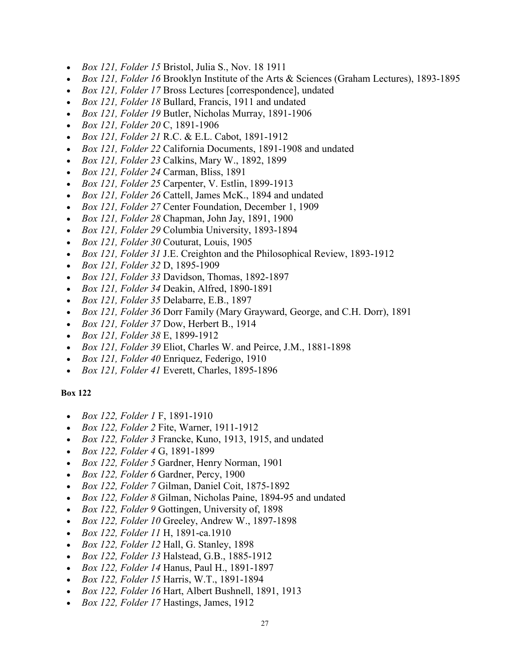- *Box 121, Folder 15* Bristol, Julia S., Nov. 18 1911
- *Box 121, Folder 16* Brooklyn Institute of the Arts & Sciences (Graham Lectures), 1893-1895
- *Box 121, Folder 17* Bross Lectures [correspondence], undated
- *Box 121, Folder 18* Bullard, Francis, 1911 and undated
- *Box 121, Folder 19* Butler, Nicholas Murray, 1891-1906
- *Box 121, Folder 20* C, 1891-1906
- *Box 121, Folder 21* R.C. & E.L. Cabot, 1891-1912
- *Box 121, Folder 22* California Documents, 1891-1908 and undated
- *Box 121, Folder 23* Calkins, Mary W., 1892, 1899
- *Box 121, Folder 24* Carman, Bliss, 1891
- *Box 121, Folder 25* Carpenter, V. Estlin, 1899-1913
- *Box 121, Folder 26* Cattell, James McK., 1894 and undated
- *Box 121, Folder 27* Center Foundation, December 1, 1909
- *Box 121, Folder 28* Chapman, John Jay, 1891, 1900
- *Box 121, Folder 29* Columbia University, 1893-1894
- *Box 121, Folder 30* Couturat, Louis, 1905
- *Box 121, Folder 31* J.E. Creighton and the Philosophical Review, 1893-1912
- *Box 121, Folder 32* D, 1895-1909
- *Box 121, Folder 33* Davidson, Thomas, 1892-1897
- *Box 121, Folder 34* Deakin, Alfred, 1890-1891
- *Box 121, Folder 35* Delabarre, E.B., 1897
- *Box 121, Folder 36* Dorr Family (Mary Grayward, George, and C.H. Dorr), 1891
- *Box 121, Folder 37* Dow, Herbert B., 1914
- *Box 121, Folder 38* E, 1899-1912
- *Box 121, Folder 39* Eliot, Charles W. and Peirce, J.M., 1881-1898
- *Box 121, Folder 40* Enriquez, Federigo, 1910
- *Box 121, Folder 41* Everett, Charles, 1895-1896

- *Box 122, Folder 1* F, 1891-1910
- *Box 122, Folder 2* Fite, Warner, 1911-1912
- *Box 122, Folder 3* Francke, Kuno, 1913, 1915, and undated
- *Box 122, Folder 4* G, 1891-1899
- *Box 122, Folder 5* Gardner, Henry Norman, 1901
- *Box 122, Folder 6* Gardner, Percy, 1900
- *Box 122, Folder 7* Gilman, Daniel Coit, 1875-1892
- *Box 122, Folder 8* Gilman, Nicholas Paine, 1894-95 and undated
- *Box 122, Folder 9* Gottingen, University of, 1898
- *Box 122, Folder 10* Greeley, Andrew W., 1897-1898
- *Box 122, Folder 11* H, 1891-ca.1910
- *Box 122, Folder 12* Hall, G. Stanley, 1898
- *Box 122, Folder 13* Halstead, G.B., 1885-1912
- *Box 122, Folder 14* Hanus, Paul H., 1891-1897
- *Box 122, Folder 15* Harris, W.T., 1891-1894
- *Box 122, Folder 16* Hart, Albert Bushnell, 1891, 1913
- *Box 122, Folder 17* Hastings, James, 1912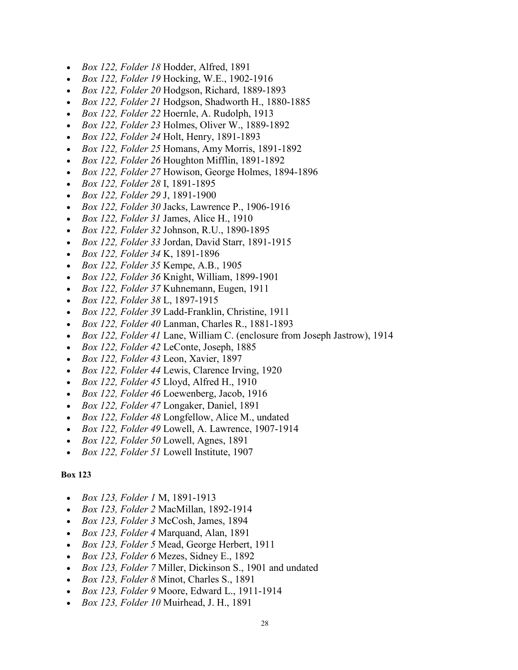- *Box 122, Folder 18* Hodder, Alfred, 1891
- *Box 122, Folder 19* Hocking, W.E., 1902-1916
- *Box 122, Folder 20* Hodgson, Richard, 1889-1893
- *Box 122, Folder 21* Hodgson, Shadworth H., 1880-1885
- *Box 122, Folder 22* Hoernle, A. Rudolph, 1913
- *Box 122, Folder 23* Holmes, Oliver W., 1889-1892
- *Box 122, Folder 24* Holt, Henry, 1891-1893
- *Box 122, Folder 25* Homans, Amy Morris, 1891-1892
- *Box 122, Folder 26* Houghton Mifflin, 1891-1892
- *Box 122, Folder 27* Howison, George Holmes, 1894-1896
- *Box 122, Folder 28* I, 1891-1895
- *Box 122, Folder 29* J, 1891-1900
- *Box 122, Folder 30* Jacks, Lawrence P., 1906-1916
- *Box 122, Folder 31* James, Alice H., 1910
- *Box 122, Folder 32* Johnson, R.U., 1890-1895
- *Box 122, Folder 33* Jordan, David Starr, 1891-1915
- *Box 122, Folder 34* K, 1891-1896
- *Box 122, Folder 35* Kempe, A.B., 1905
- *Box 122, Folder 36* Knight, William, 1899-1901
- *Box 122, Folder 37* Kuhnemann, Eugen, 1911
- *Box 122, Folder 38* L, 1897-1915
- *Box 122, Folder 39* Ladd-Franklin, Christine, 1911
- *Box 122, Folder 40* Lanman, Charles R., 1881-1893
- *Box 122, Folder 41* Lane, William C. (enclosure from Joseph Jastrow), 1914
- *Box 122, Folder 42* LeConte, Joseph, 1885
- *Box 122, Folder 43* Leon, Xavier, 1897
- *Box 122, Folder 44* Lewis, Clarence Irving, 1920
- *Box 122, Folder 45* Lloyd, Alfred H., 1910
- *Box 122, Folder 46* Loewenberg, Jacob, 1916
- *Box 122, Folder 47* Longaker, Daniel, 1891
- *Box 122, Folder 48* Longfellow, Alice M., undated
- *Box 122, Folder 49* Lowell, A. Lawrence, 1907-1914
- *Box 122, Folder 50* Lowell, Agnes, 1891
- *Box 122, Folder 51* Lowell Institute, 1907

- *Box 123, Folder 1* M, 1891-1913
- *Box 123, Folder 2* MacMillan, 1892-1914
- *Box 123, Folder 3* McCosh, James, 1894
- *Box 123, Folder 4* Marquand, Alan, 1891
- *Box 123, Folder 5* Mead, George Herbert, 1911
- *Box 123, Folder 6* Mezes, Sidney E., 1892
- *Box 123, Folder 7* Miller, Dickinson S., 1901 and undated
- *Box 123, Folder 8* Minot, Charles S., 1891
- *Box 123, Folder 9* Moore, Edward L., 1911-1914
- *Box 123, Folder 10* Muirhead, J. H., 1891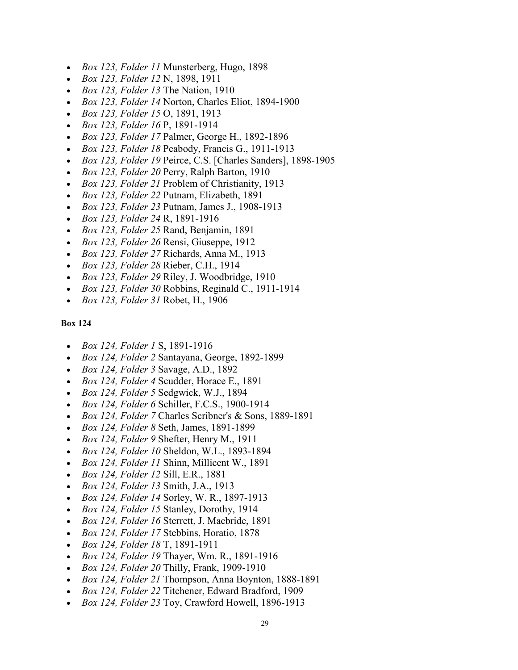- *Box 123, Folder 11* Munsterberg, Hugo, 1898
- *Box 123, Folder 12* N, 1898, 1911
- *Box 123, Folder 13* The Nation, 1910
- *Box 123, Folder 14* Norton, Charles Eliot, 1894-1900
- *Box 123, Folder 15* O, 1891, 1913
- *Box 123, Folder 16* P, 1891-1914
- *Box 123, Folder 17* Palmer, George H., 1892-1896
- *Box 123, Folder 18* Peabody, Francis G., 1911-1913
- *Box 123, Folder 19* Peirce, C.S. [Charles Sanders], 1898-1905
- *Box 123, Folder 20* Perry, Ralph Barton, 1910
- *Box 123, Folder 21* Problem of Christianity, 1913
- *Box 123, Folder 22* Putnam, Elizabeth, 1891
- *Box 123, Folder 23* Putnam, James J., 1908-1913
- *Box 123, Folder 24* R, 1891-1916
- *Box 123, Folder 25* Rand, Benjamin, 1891
- *Box 123, Folder 26* Rensi, Giuseppe, 1912
- *Box 123, Folder 27* Richards, Anna M., 1913
- *Box 123, Folder 28* Rieber, C.H., 1914
- *Box 123, Folder 29* Riley, J. Woodbridge, 1910
- *Box 123, Folder 30* Robbins, Reginald C., 1911-1914
- *Box 123, Folder 31* Robet, H., 1906

- *Box 124, Folder 1* S, 1891-1916
- *Box 124, Folder 2* Santayana, George, 1892-1899
- *Box 124, Folder 3* Savage, A.D., 1892
- *Box 124, Folder 4* Scudder, Horace E., 1891
- *Box 124, Folder 5* Sedgwick, W.J., 1894
- *Box 124, Folder 6* Schiller, F.C.S., 1900-1914
- *Box 124, Folder 7* Charles Scribner's & Sons, 1889-1891
- *Box 124, Folder 8* Seth, James, 1891-1899
- *Box 124, Folder 9* Shefter, Henry M., 1911
- *Box 124, Folder 10* Sheldon, W.L., 1893-1894
- *Box 124, Folder 11* Shinn, Millicent W., 1891
- *Box 124, Folder 12* Sill, E.R., 1881
- *Box 124, Folder 13* Smith, J.A., 1913
- *Box 124, Folder 14* Sorley, W. R., 1897-1913
- *Box 124, Folder 15* Stanley, Dorothy, 1914
- *Box 124, Folder 16* Sterrett, J. Macbride, 1891
- *Box 124, Folder 17* Stebbins, Horatio, 1878
- *Box 124, Folder 18* T, 1891-1911
- *Box 124, Folder 19* Thayer, Wm. R., 1891-1916
- *Box 124, Folder 20* Thilly, Frank, 1909-1910
- *Box 124, Folder 21* Thompson, Anna Boynton, 1888-1891
- *Box 124, Folder 22* Titchener, Edward Bradford, 1909
- *Box 124, Folder 23* Toy, Crawford Howell, 1896-1913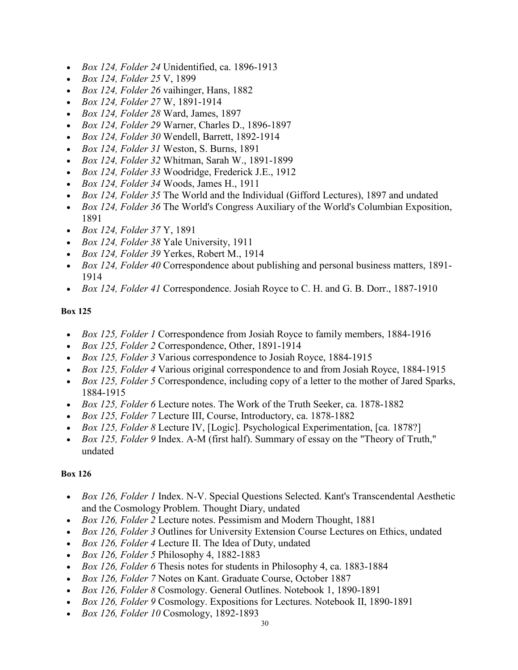- *Box 124, Folder 24* Unidentified, ca. 1896-1913
- *Box 124, Folder 25* V, 1899
- *Box 124, Folder 26* vaihinger, Hans, 1882
- *Box 124, Folder 27* W, 1891-1914
- *Box 124, Folder 28* Ward, James, 1897
- *Box 124, Folder 29* Warner, Charles D., 1896-1897
- *Box 124, Folder 30* Wendell, Barrett, 1892-1914
- *Box 124, Folder 31* Weston, S. Burns, 1891
- *Box 124, Folder 32* Whitman, Sarah W., 1891-1899
- *Box 124, Folder 33* Woodridge, Frederick J.E., 1912
- *Box 124, Folder 34* Woods, James H., 1911
- *Box 124, Folder 35* The World and the Individual (Gifford Lectures), 1897 and undated
- *Box 124, Folder 36* The World's Congress Auxiliary of the World's Columbian Exposition, 1891
- *Box 124, Folder 37* Y, 1891
- *Box 124, Folder 38* Yale University, 1911
- *Box 124, Folder 39* Yerkes, Robert M., 1914
- *Box 124, Folder 40* Correspondence about publishing and personal business matters, 1891- 1914
- *Box 124, Folder 41* Correspondence. Josiah Royce to C. H. and G. B. Dorr., 1887-1910

- *Box 125, Folder 1* Correspondence from Josiah Royce to family members, 1884-1916
- *Box 125, Folder 2* Correspondence, Other, 1891-1914
- *Box 125, Folder 3* Various correspondence to Josiah Royce, 1884-1915
- *Box 125, Folder 4* Various original correspondence to and from Josiah Royce, 1884-1915
- *Box 125, Folder 5* Correspondence, including copy of a letter to the mother of Jared Sparks, 1884-1915
- *Box 125, Folder 6* Lecture notes. The Work of the Truth Seeker, ca. 1878-1882
- *Box 125, Folder 7* Lecture III, Course, Introductory, ca. 1878-1882
- *Box 125, Folder 8* Lecture IV, [Logic]. Psychological Experimentation, [ca. 1878?]
- *Box 125, Folder 9* Index. A-M (first half). Summary of essay on the "Theory of Truth," undated

- *Box 126, Folder 1* Index. N-V. Special Questions Selected. Kant's Transcendental Aesthetic and the Cosmology Problem. Thought Diary, undated
- *Box 126, Folder 2* Lecture notes. Pessimism and Modern Thought, 1881
- *Box 126, Folder 3* Outlines for University Extension Course Lectures on Ethics, undated
- *Box 126, Folder 4* Lecture II. The Idea of Duty, undated
- *Box 126, Folder 5* Philosophy 4, 1882-1883
- *Box 126, Folder 6* Thesis notes for students in Philosophy 4, ca. 1883-1884
- *Box 126, Folder 7* Notes on Kant. Graduate Course, October 1887
- *Box 126, Folder 8* Cosmology. General Outlines. Notebook 1, 1890-1891
- *Box 126, Folder 9* Cosmology. Expositions for Lectures. Notebook II, 1890-1891
- *Box 126, Folder 10* Cosmology, 1892-1893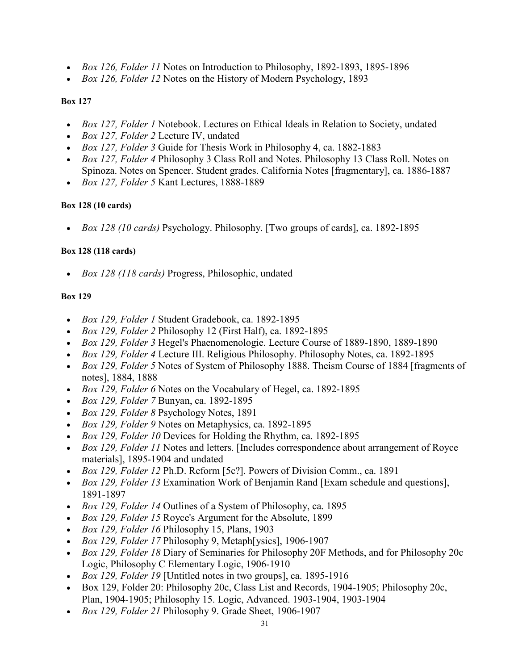- *Box 126, Folder 11* Notes on Introduction to Philosophy, 1892-1893, 1895-1896
- *Box 126, Folder 12* Notes on the History of Modern Psychology, 1893

- *Box 127, Folder 1* Notebook. Lectures on Ethical Ideals in Relation to Society, undated
- *Box 127, Folder 2* Lecture IV, undated
- *Box 127, Folder 3* Guide for Thesis Work in Philosophy 4, ca. 1882-1883
- *Box 127, Folder 4* Philosophy 3 Class Roll and Notes. Philosophy 13 Class Roll. Notes on Spinoza. Notes on Spencer. Student grades. California Notes [fragmentary], ca. 1886-1887
- *Box 127, Folder 5* Kant Lectures, 1888-1889

### **Box 128 (10 cards)**

• *Box 128 (10 cards)* Psychology. Philosophy. [Two groups of cards], ca. 1892-1895

### **Box 128 (118 cards)**

• *Box 128 (118 cards)* Progress, Philosophic, undated

- *Box 129, Folder 1* Student Gradebook, ca. 1892-1895
- *Box 129, Folder 2* Philosophy 12 (First Half), ca. 1892-1895
- *Box 129, Folder 3* Hegel's Phaenomenologie. Lecture Course of 1889-1890, 1889-1890
- *Box 129, Folder 4* Lecture III. Religious Philosophy. Philosophy Notes, ca. 1892-1895
- *Box 129, Folder 5* Notes of System of Philosophy 1888. Theism Course of 1884 [fragments of notes], 1884, 1888
- *Box 129, Folder 6* Notes on the Vocabulary of Hegel, ca. 1892-1895
- *Box 129, Folder 7* Bunyan, ca. 1892-1895
- *Box 129, Folder 8* Psychology Notes, 1891
- *Box 129, Folder 9* Notes on Metaphysics, ca. 1892-1895
- *Box 129, Folder 10* Devices for Holding the Rhythm, ca. 1892-1895
- *Box 129, Folder 11* Notes and letters. [Includes correspondence about arrangement of Royce materials], 1895-1904 and undated
- *Box 129, Folder 12* Ph.D. Reform [5c?]. Powers of Division Comm., ca. 1891
- *Box 129, Folder 13* Examination Work of Benjamin Rand [Exam schedule and questions], 1891-1897
- *Box 129, Folder 14* Outlines of a System of Philosophy, ca. 1895
- *Box 129, Folder 15* Royce's Argument for the Absolute, 1899
- *Box 129, Folder 16* Philosophy 15, Plans, 1903
- *Box 129, Folder 17* Philosophy 9, Metaph[ysics], 1906-1907
- *Box 129, Folder 18* Diary of Seminaries for Philosophy 20F Methods, and for Philosophy 20c Logic, Philosophy C Elementary Logic, 1906-1910
- *Box 129, Folder 19* [Untitled notes in two groups], ca. 1895-1916
- Box 129, Folder 20: Philosophy 20c, Class List and Records, 1904-1905; Philosophy 20c, Plan, 1904-1905; Philosophy 15. Logic, Advanced. 1903-1904, 1903-1904
- *Box 129, Folder 21* Philosophy 9. Grade Sheet, 1906-1907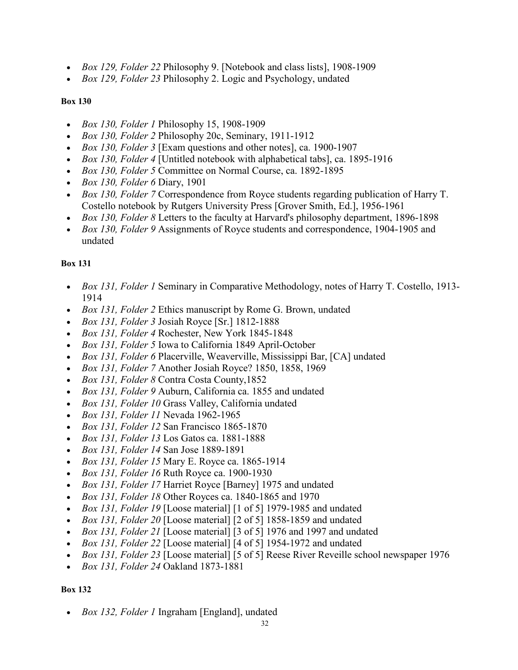- *Box 129, Folder 22* Philosophy 9. [Notebook and class lists], 1908-1909
- *Box 129, Folder 23* Philosophy 2. Logic and Psychology, undated

- *Box 130, Folder 1* Philosophy 15, 1908-1909
- *Box 130, Folder 2* Philosophy 20c, Seminary, 1911-1912
- *Box 130, Folder 3* [Exam questions and other notes], ca. 1900-1907
- *Box 130, Folder 4* [Untitled notebook with alphabetical tabs], ca. 1895-1916
- *Box 130, Folder 5* Committee on Normal Course, ca. 1892-1895
- *Box 130, Folder 6* Diary, 1901
- *Box 130, Folder 7* Correspondence from Royce students regarding publication of Harry T. Costello notebook by Rutgers University Press [Grover Smith, Ed.], 1956-1961
- *Box 130, Folder 8* Letters to the faculty at Harvard's philosophy department, 1896-1898
- *Box 130, Folder 9* Assignments of Royce students and correspondence, 1904-1905 and undated

### **Box 131**

- *Box 131, Folder 1* Seminary in Comparative Methodology, notes of Harry T. Costello, 1913- 1914
- *Box 131, Folder 2* Ethics manuscript by Rome G. Brown, undated
- *Box 131, Folder 3* Josiah Royce [Sr.] 1812-1888
- *Box 131, Folder 4* Rochester, New York 1845-1848
- *Box 131, Folder 5* Iowa to California 1849 April-October
- *Box 131, Folder 6* Placerville, Weaverville, Mississippi Bar, [CA] undated
- *Box 131, Folder 7* Another Josiah Royce? 1850, 1858, 1969
- *Box 131, Folder 8* Contra Costa County,1852
- *Box 131, Folder 9* Auburn, California ca. 1855 and undated
- *Box 131, Folder 10* Grass Valley, California undated
- *Box 131, Folder 11* Nevada 1962-1965
- *Box 131, Folder 12* San Francisco 1865-1870
- *Box 131, Folder 13* Los Gatos ca. 1881-1888
- *Box 131, Folder 14* San Jose 1889-1891
- *Box 131, Folder 15* Mary E. Royce ca. 1865-1914
- *Box 131, Folder 16* Ruth Royce ca. 1900-1930
- *Box 131, Folder 17* Harriet Royce [Barney] 1975 and undated
- *Box 131, Folder 18* Other Royces ca. 1840-1865 and 1970
- *Box 131, Folder 19* [Loose material] [1 of 5] 1979-1985 and undated
- *Box 131, Folder 20* [Loose material] [2 of 5] 1858-1859 and undated
- *Box 131, Folder 21* [Loose material] [3 of 5] 1976 and 1997 and undated
- *Box 131, Folder 22* [Loose material] [4 of 5] 1954-1972 and undated
- *Box 131, Folder 23* [Loose material] [5 of 5] Reese River Reveille school newspaper 1976
- *Box 131, Folder 24* Oakland 1873-1881

### **Box 132**

• *Box 132, Folder 1* Ingraham [England], undated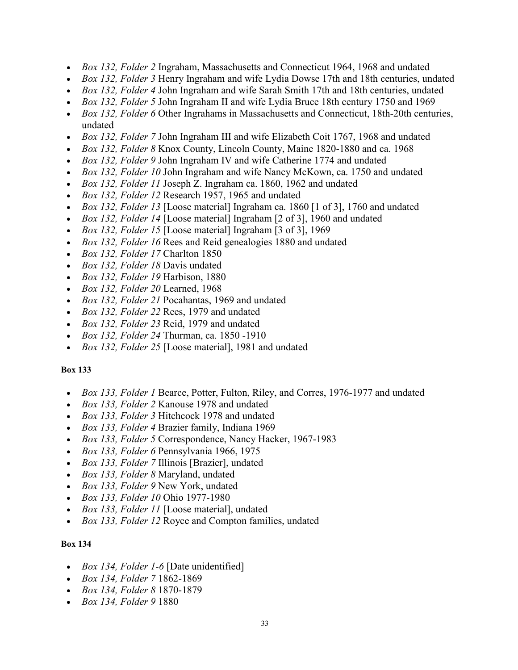- *Box 132, Folder 2* Ingraham, Massachusetts and Connecticut 1964, 1968 and undated
- *Box 132, Folder 3* Henry Ingraham and wife Lydia Dowse 17th and 18th centuries, undated
- *Box 132, Folder 4* John Ingraham and wife Sarah Smith 17th and 18th centuries, undated
- *Box 132, Folder 5* John Ingraham II and wife Lydia Bruce 18th century 1750 and 1969
- *Box 132, Folder 6* Other Ingrahams in Massachusetts and Connecticut, 18th-20th centuries, undated
- *Box 132, Folder 7* John Ingraham III and wife Elizabeth Coit 1767, 1968 and undated
- *Box 132, Folder 8* Knox County, Lincoln County, Maine 1820-1880 and ca. 1968
- *Box 132, Folder 9* John Ingraham IV and wife Catherine 1774 and undated
- *Box 132, Folder 10* John Ingraham and wife Nancy McKown, ca. 1750 and undated
- *Box 132, Folder 11* Joseph Z. Ingraham ca. 1860, 1962 and undated
- *Box 132, Folder 12* Research 1957, 1965 and undated
- *Box 132, Folder 13* [Loose material] Ingraham ca. 1860 [1 of 3], 1760 and undated
- *Box 132, Folder 14* [Loose material] Ingraham [2 of 3], 1960 and undated
- *Box 132, Folder 15* [Loose material] Ingraham [3 of 3], 1969
- *Box 132, Folder 16* Rees and Reid genealogies 1880 and undated
- *Box 132, Folder 17* Charlton 1850
- *Box 132, Folder 18* Davis undated
- *Box 132, Folder 19* Harbison, 1880
- *Box 132, Folder 20* Learned, 1968
- *Box 132, Folder 21* Pocahantas, 1969 and undated
- *Box 132, Folder 22* Rees, 1979 and undated
- *Box 132, Folder 23* Reid, 1979 and undated
- *Box 132, Folder 24* Thurman, ca. 1850 -1910
- *Box 132, Folder 25* [Loose material], 1981 and undated

- *Box 133, Folder 1* Bearce, Potter, Fulton, Riley, and Corres, 1976-1977 and undated
- *Box 133, Folder 2* Kanouse 1978 and undated
- *Box 133, Folder 3* Hitchcock 1978 and undated
- *Box 133, Folder 4* Brazier family, Indiana 1969
- *Box 133, Folder 5* Correspondence, Nancy Hacker, 1967-1983
- *Box 133, Folder 6* Pennsylvania 1966, 1975
- *Box 133, Folder 7* Illinois [Brazier], undated
- *Box 133, Folder 8* Maryland, undated
- *Box 133, Folder 9* New York, undated
- *Box 133, Folder 10* Ohio 1977-1980
- *Box 133, Folder 11* [Loose material], undated
- *Box 133, Folder 12* Royce and Compton families, undated

- *Box 134, Folder 1-6* [Date unidentified]
- *Box 134, Folder 7* 1862-1869
- *Box 134, Folder 8* 1870-1879
- *Box 134, Folder 9* 1880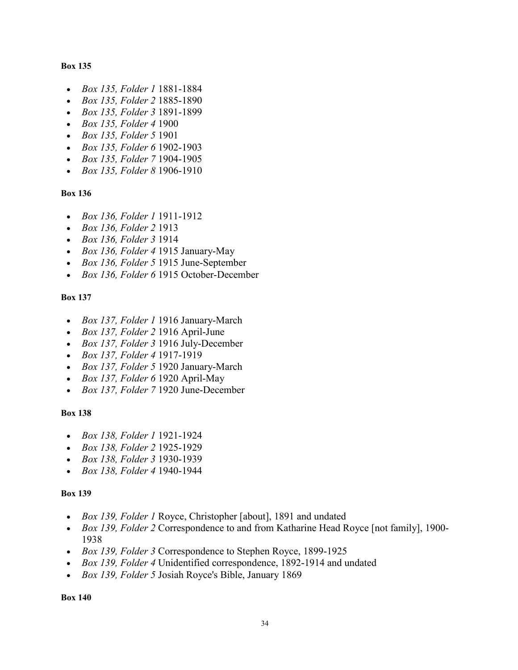- *Box 135, Folder 1* 1881-1884
- *Box 135, Folder 2* 1885-1890
- *Box 135, Folder 3* 1891-1899
- *Box 135, Folder 4* 1900
- *Box 135, Folder 5* 1901
- *Box 135, Folder 6* 1902-1903
- *Box 135, Folder 7* 1904-1905
- *Box 135, Folder 8* 1906-1910

#### **Box 136**

- *Box 136, Folder 1* 1911-1912
- *Box 136, Folder 2* 1913
- *Box 136, Folder 3* 1914
- *Box 136, Folder 4* 1915 January-May
- *Box 136, Folder 5* 1915 June-September
- *Box 136, Folder 6* 1915 October-December

#### **Box 137**

- *Box 137, Folder 1* 1916 January-March
- *Box 137, Folder 2* 1916 April-June
- *Box 137, Folder 3* 1916 July-December
- *Box 137, Folder 4* 1917-1919
- *Box 137, Folder 5* 1920 January-March
- *Box 137, Folder 6* 1920 April-May
- *Box 137, Folder 7* 1920 June-December

#### **Box 138**

- *Box 138, Folder 1* 1921-1924
- *Box 138, Folder 2* 1925-1929
- *Box 138, Folder 3* 1930-1939
- *Box 138, Folder 4* 1940-1944

#### **Box 139**

- *Box 139, Folder 1* Royce, Christopher [about], 1891 and undated
- *Box 139, Folder 2* Correspondence to and from Katharine Head Royce [not family], 1900- 1938
- *Box 139, Folder 3* Correspondence to Stephen Royce, 1899-1925
- *Box 139, Folder 4* Unidentified correspondence, 1892-1914 and undated
- *Box 139, Folder 5* Josiah Royce's Bible, January 1869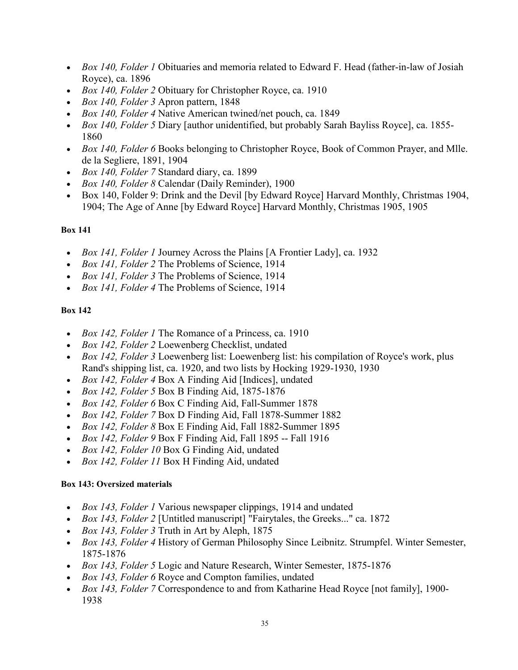- *Box 140, Folder 1* Obituaries and memoria related to Edward F. Head (father-in-law of Josiah Royce), ca. 1896
- *Box 140, Folder 2* Obituary for Christopher Royce, ca. 1910
- *Box 140, Folder 3* Apron pattern, 1848
- *Box 140, Folder 4* Native American twined/net pouch, ca. 1849
- *Box 140, Folder 5* Diary [author unidentified, but probably Sarah Bayliss Royce], ca. 1855- 1860
- *Box 140, Folder 6* Books belonging to Christopher Royce, Book of Common Prayer, and Mlle. de la Segliere, 1891, 1904
- *Box 140, Folder 7* Standard diary, ca. 1899
- *Box 140, Folder 8* Calendar (Daily Reminder), 1900
- Box 140, Folder 9: Drink and the Devil [by Edward Royce] Harvard Monthly, Christmas 1904, 1904; The Age of Anne [by Edward Royce] Harvard Monthly, Christmas 1905, 1905

- *Box 141, Folder 1* Journey Across the Plains [A Frontier Lady], ca. 1932
- *Box 141, Folder 2* The Problems of Science, 1914
- *Box 141, Folder 3* The Problems of Science, 1914
- *Box 141, Folder 4* The Problems of Science, 1914

### **Box 142**

- *Box 142, Folder 1* The Romance of a Princess, ca. 1910
- *Box 142, Folder 2* Loewenberg Checklist, undated
- *Box 142, Folder 3* Loewenberg list: Loewenberg list: his compilation of Royce's work, plus Rand's shipping list, ca. 1920, and two lists by Hocking 1929-1930, 1930
- *Box 142, Folder 4* Box A Finding Aid [Indices], undated
- *Box 142, Folder 5* Box B Finding Aid, 1875-1876
- *Box 142, Folder 6* Box C Finding Aid, Fall-Summer 1878
- *Box 142, Folder 7* Box D Finding Aid, Fall 1878-Summer 1882
- *Box 142, Folder 8* Box E Finding Aid, Fall 1882-Summer 1895
- *Box 142, Folder 9* Box F Finding Aid, Fall 1895 -- Fall 1916
- *Box 142, Folder 10* Box G Finding Aid, undated
- *Box 142, Folder 11* Box H Finding Aid, undated

### **Box 143: Oversized materials**

- *Box 143, Folder 1* Various newspaper clippings, 1914 and undated
- *Box 143, Folder 2* [Untitled manuscript] "Fairytales, the Greeks..." ca. 1872
- *Box 143, Folder 3* Truth in Art by Aleph, 1875
- *Box 143, Folder 4* History of German Philosophy Since Leibnitz. Strumpfel. Winter Semester, 1875-1876
- *Box 143, Folder 5* Logic and Nature Research, Winter Semester, 1875-1876
- *Box 143, Folder 6* Royce and Compton families, undated
- *Box 143, Folder 7* Correspondence to and from Katharine Head Royce [not family], 1900- 1938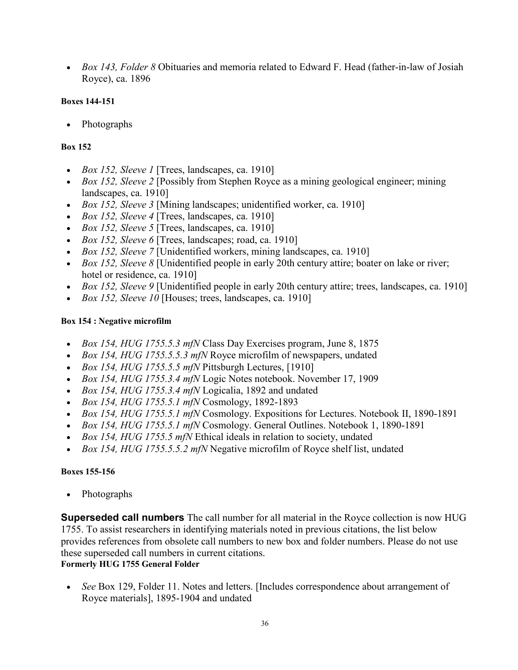• *Box 143, Folder 8* Obituaries and memoria related to Edward F. Head (father-in-law of Josiah Royce), ca. 1896

### **Boxes 144-151**

• Photographs

### **Box 152**

- *Box 152, Sleeve 1* [Trees, landscapes, ca. 1910]
- *Box 152, Sleeve 2* [Possibly from Stephen Royce as a mining geological engineer; mining landscapes, ca. 1910]
- *Box 152, Sleeve 3* [Mining landscapes; unidentified worker, ca. 1910]
- *Box 152, Sleeve 4* [Trees, landscapes, ca. 1910]
- *Box 152, Sleeve 5* [Trees, landscapes, ca. 1910]
- *Box 152, Sleeve 6* [Trees, landscapes; road, ca. 1910]
- *Box 152, Sleeve 7* [Unidentified workers, mining landscapes, ca. 1910]
- *Box 152, Sleeve 8* [Unidentified people in early 20th century attire; boater on lake or river; hotel or residence, ca. 1910]
- *Box 152, Sleeve 9* [Unidentified people in early 20th century attire; trees, landscapes, ca. 1910]
- *Box 152, Sleeve 10* [Houses; trees, landscapes, ca. 1910]

### **Box 154 : Negative microfilm**

- *Box 154, HUG 1755.5.3 mfN* Class Day Exercises program, June 8, 1875
- *Box 154, HUG 1755.5.5.3 mfN* Royce microfilm of newspapers, undated
- *Box 154, HUG 1755.5.5 mfN* Pittsburgh Lectures, [1910]
- *Box 154, HUG 1755.3.4 mfN* Logic Notes notebook. November 17, 1909
- *Box 154, HUG 1755.3.4 mfN* Logicalia, 1892 and undated
- *Box 154, HUG 1755.5.1 mfN* Cosmology, 1892-1893
- *Box 154, HUG 1755.5.1 mfN* Cosmology. Expositions for Lectures. Notebook II, 1890-1891
- *Box 154, HUG 1755.5.1 mfN* Cosmology. General Outlines. Notebook 1, 1890-1891
- *Box 154, HUG 1755.5 mfN* Ethical ideals in relation to society, undated
- *Box 154, HUG 1755.5.5.2 mfN* Negative microfilm of Royce shelf list, undated

## **Boxes 155-156**

• Photographs

**Superseded call numbers** The call number for all material in the Royce collection is now HUG 1755. To assist researchers in identifying materials noted in previous citations, the list below provides references from obsolete call numbers to new box and folder numbers. Please do not use these superseded call numbers in current citations. **Formerly HUG 1755 General Folder**

• *See* Box 129, Folder 11. Notes and letters. [Includes correspondence about arrangement of Royce materials], 1895-1904 and undated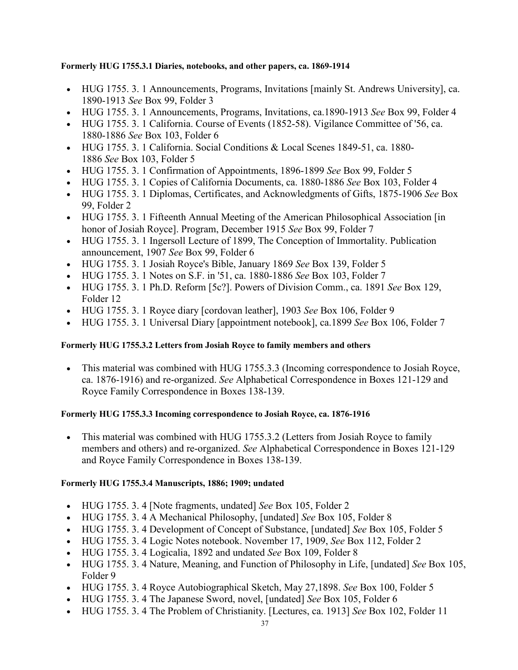### **Formerly HUG 1755.3.1 Diaries, notebooks, and other papers, ca. 1869-1914**

- HUG 1755. 3. 1 Announcements, Programs, Invitations [mainly St. Andrews University], ca. 1890-1913 *See* Box 99, Folder 3
- HUG 1755. 3. 1 Announcements, Programs, Invitations, ca.1890-1913 *See* Box 99, Folder 4
- HUG 1755. 3. 1 California. Course of Events (1852-58). Vigilance Committee of '56, ca. 1880-1886 *See* Box 103, Folder 6
- HUG 1755. 3. 1 California. Social Conditions & Local Scenes 1849-51, ca. 1880- 1886 *See* Box 103, Folder 5
- HUG 1755. 3. 1 Confirmation of Appointments, 1896-1899 *See* Box 99, Folder 5
- HUG 1755. 3. 1 Copies of California Documents, ca. 1880-1886 *See* Box 103, Folder 4
- HUG 1755. 3. 1 Diplomas, Certificates, and Acknowledgments of Gifts, 1875-1906 *See* Box 99, Folder 2
- HUG 1755. 3. 1 Fifteenth Annual Meeting of the American Philosophical Association [in] honor of Josiah Royce]. Program, December 1915 *See* Box 99, Folder 7
- HUG 1755. 3. 1 Ingersoll Lecture of 1899, The Conception of Immortality. Publication announcement, 1907 *See* Box 99, Folder 6
- HUG 1755. 3. 1 Josiah Royce's Bible, January 1869 *See* Box 139, Folder 5
- HUG 1755. 3. 1 Notes on S.F. in '51, ca. 1880-1886 *See* Box 103, Folder 7
- HUG 1755. 3. 1 Ph.D. Reform [5c?]. Powers of Division Comm., ca. 1891 *See* Box 129, Folder 12
- HUG 1755. 3. 1 Royce diary [cordovan leather], 1903 *See* Box 106, Folder 9
- HUG 1755. 3. 1 Universal Diary [appointment notebook], ca.1899 *See* Box 106, Folder 7

## **Formerly HUG 1755.3.2 Letters from Josiah Royce to family members and others**

• This material was combined with HUG 1755.3.3 (Incoming correspondence to Josiah Royce, ca. 1876-1916) and re-organized. *See* Alphabetical Correspondence in Boxes 121-129 and Royce Family Correspondence in Boxes 138-139.

## **Formerly HUG 1755.3.3 Incoming correspondence to Josiah Royce, ca. 1876-1916**

• This material was combined with HUG 1755.3.2 (Letters from Josiah Royce to family members and others) and re-organized. *See* Alphabetical Correspondence in Boxes 121-129 and Royce Family Correspondence in Boxes 138-139.

### **Formerly HUG 1755.3.4 Manuscripts, 1886; 1909; undated**

- HUG 1755. 3. 4 [Note fragments, undated] *See* Box 105, Folder 2
- HUG 1755. 3. 4 A Mechanical Philosophy, [undated] *See* Box 105, Folder 8
- HUG 1755. 3. 4 Development of Concept of Substance, [undated] *See* Box 105, Folder 5
- HUG 1755. 3. 4 Logic Notes notebook. November 17, 1909, *See* Box 112, Folder 2
- HUG 1755. 3. 4 Logicalia, 1892 and undated *See* Box 109, Folder 8
- HUG 1755. 3. 4 Nature, Meaning, and Function of Philosophy in Life, [undated] *See* Box 105, Folder 9
- HUG 1755. 3. 4 Royce Autobiographical Sketch, May 27,1898. *See* Box 100, Folder 5
- HUG 1755. 3. 4 The Japanese Sword, novel, [undated] *See* Box 105, Folder 6
- HUG 1755. 3. 4 The Problem of Christianity. [Lectures, ca. 1913] *See* Box 102, Folder 11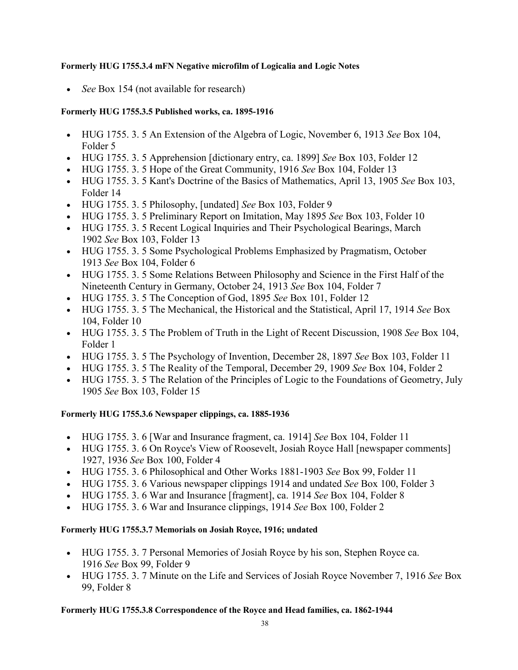### **Formerly HUG 1755.3.4 mFN Negative microfilm of Logicalia and Logic Notes**

• *See* Box 154 (not available for research)

## **Formerly HUG 1755.3.5 Published works, ca. 1895-1916**

- HUG 1755. 3. 5 An Extension of the Algebra of Logic, November 6, 1913 *See* Box 104, Folder 5
- HUG 1755. 3. 5 Apprehension [dictionary entry, ca. 1899] *See* Box 103, Folder 12
- HUG 1755. 3. 5 Hope of the Great Community, 1916 *See* Box 104, Folder 13
- HUG 1755. 3. 5 Kant's Doctrine of the Basics of Mathematics, April 13, 1905 *See* Box 103, Folder 14
- HUG 1755. 3. 5 Philosophy, [undated] *See* Box 103, Folder 9
- HUG 1755. 3. 5 Preliminary Report on Imitation, May 1895 *See* Box 103, Folder 10
- HUG 1755. 3. 5 Recent Logical Inquiries and Their Psychological Bearings, March 1902 *See* Box 103, Folder 13
- HUG 1755. 3. 5 Some Psychological Problems Emphasized by Pragmatism, October 1913 *See* Box 104, Folder 6
- HUG 1755. 3. 5 Some Relations Between Philosophy and Science in the First Half of the Nineteenth Century in Germany, October 24, 1913 *See* Box 104, Folder 7
- HUG 1755. 3. 5 The Conception of God, 1895 *See* Box 101, Folder 12
- HUG 1755. 3. 5 The Mechanical, the Historical and the Statistical, April 17, 1914 *See* Box 104, Folder 10
- HUG 1755. 3. 5 The Problem of Truth in the Light of Recent Discussion, 1908 *See* Box 104, Folder 1
- HUG 1755. 3. 5 The Psychology of Invention, December 28, 1897 *See* Box 103, Folder 11
- HUG 1755. 3. 5 The Reality of the Temporal, December 29, 1909 *See* Box 104, Folder 2
- HUG 1755. 3. 5 The Relation of the Principles of Logic to the Foundations of Geometry, July 1905 *See* Box 103, Folder 15

## **Formerly HUG 1755.3.6 Newspaper clippings, ca. 1885-1936**

- HUG 1755. 3. 6 [War and Insurance fragment, ca. 1914] *See* Box 104, Folder 11
- HUG 1755. 3. 6 On Royce's View of Roosevelt, Josiah Royce Hall [newspaper comments] 1927, 1936 *See* Box 100, Folder 4
- HUG 1755. 3. 6 Philosophical and Other Works 1881-1903 *See* Box 99, Folder 11
- HUG 1755. 3. 6 Various newspaper clippings 1914 and undated *See* Box 100, Folder 3
- HUG 1755. 3. 6 War and Insurance [fragment], ca. 1914 *See* Box 104, Folder 8
- HUG 1755. 3. 6 War and Insurance clippings, 1914 *See* Box 100, Folder 2

## **Formerly HUG 1755.3.7 Memorials on Josiah Royce, 1916; undated**

- HUG 1755. 3. 7 Personal Memories of Josiah Royce by his son, Stephen Royce ca. 1916 *See* Box 99, Folder 9
- HUG 1755. 3. 7 Minute on the Life and Services of Josiah Royce November 7, 1916 *See* Box 99, Folder 8

## **Formerly HUG 1755.3.8 Correspondence of the Royce and Head families, ca. 1862-1944**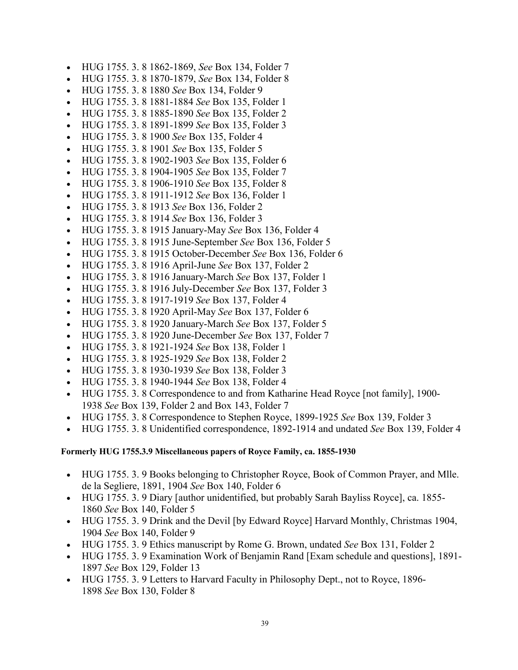- HUG 1755. 3. 8 1862-1869, *See* Box 134, Folder 7
- HUG 1755. 3. 8 1870-1879, *See* Box 134, Folder 8
- HUG 1755. 3. 8 1880 *See* Box 134, Folder 9
- HUG 1755. 3. 8 1881-1884 *See* Box 135, Folder 1
- HUG 1755. 3. 8 1885-1890 *See* Box 135, Folder 2
- HUG 1755. 3. 8 1891-1899 *See* Box 135, Folder 3
- HUG 1755. 3. 8 1900 *See* Box 135, Folder 4
- HUG 1755. 3. 8 1901 *See* Box 135, Folder 5
- HUG 1755. 3. 8 1902-1903 *See* Box 135, Folder 6
- HUG 1755. 3. 8 1904-1905 *See* Box 135, Folder 7
- HUG 1755. 3. 8 1906-1910 *See* Box 135, Folder 8
- HUG 1755. 3. 8 1911-1912 *See* Box 136, Folder 1
- HUG 1755. 3. 8 1913 *See* Box 136, Folder 2
- HUG 1755. 3. 8 1914 *See* Box 136, Folder 3
- HUG 1755. 3. 8 1915 January-May *See* Box 136, Folder 4
- HUG 1755. 3. 8 1915 June-September *See* Box 136, Folder 5
- HUG 1755. 3. 8 1915 October-December *See* Box 136, Folder 6
- HUG 1755. 3. 8 1916 April-June *See* Box 137, Folder 2
- HUG 1755. 3. 8 1916 January-March *See* Box 137, Folder 1
- HUG 1755. 3. 8 1916 July-December *See* Box 137, Folder 3
- HUG 1755. 3. 8 1917-1919 *See* Box 137, Folder 4
- HUG 1755. 3. 8 1920 April-May *See* Box 137, Folder 6
- HUG 1755. 3. 8 1920 January-March *See* Box 137, Folder 5
- HUG 1755. 3. 8 1920 June-December *See* Box 137, Folder 7
- HUG 1755. 3. 8 1921-1924 *See* Box 138, Folder 1
- HUG 1755. 3. 8 1925-1929 *See* Box 138, Folder 2
- HUG 1755. 3. 8 1930-1939 *See* Box 138, Folder 3
- HUG 1755. 3. 8 1940-1944 *See* Box 138, Folder 4
- HUG 1755. 3. 8 Correspondence to and from Katharine Head Royce [not family], 1900- 1938 *See* Box 139, Folder 2 and Box 143, Folder 7
- HUG 1755. 3. 8 Correspondence to Stephen Royce, 1899-1925 *See* Box 139, Folder 3
- HUG 1755. 3. 8 Unidentified correspondence, 1892-1914 and undated *See* Box 139, Folder 4

#### **Formerly HUG 1755.3.9 Miscellaneous papers of Royce Family, ca. 1855-1930**

- HUG 1755. 3. 9 Books belonging to Christopher Royce, Book of Common Prayer, and Mlle. de la Segliere, 1891, 1904 *See* Box 140, Folder 6
- HUG 1755. 3. 9 Diary [author unidentified, but probably Sarah Bayliss Royce], ca. 1855- 1860 *See* Box 140, Folder 5
- HUG 1755. 3. 9 Drink and the Devil [by Edward Royce] Harvard Monthly, Christmas 1904, 1904 *See* Box 140, Folder 9
- HUG 1755. 3. 9 Ethics manuscript by Rome G. Brown, undated *See* Box 131, Folder 2
- HUG 1755. 3. 9 Examination Work of Benjamin Rand [Exam schedule and questions], 1891- 1897 *See* Box 129, Folder 13
- HUG 1755. 3. 9 Letters to Harvard Faculty in Philosophy Dept., not to Royce, 1896- 1898 *See* Box 130, Folder 8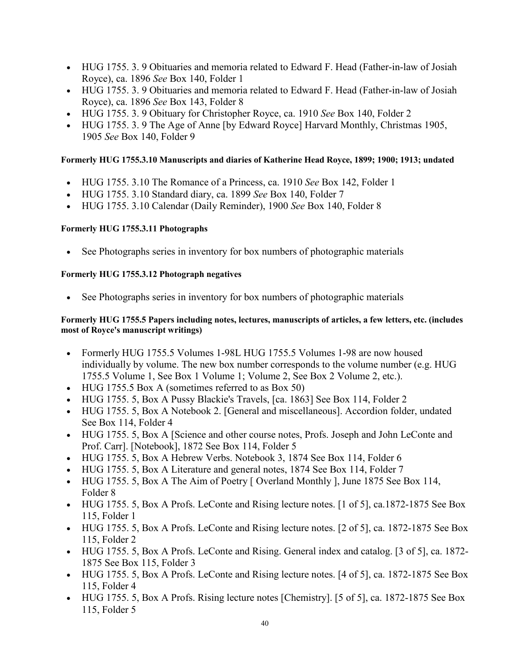- HUG 1755. 3. 9 Obituaries and memoria related to Edward F. Head (Father-in-law of Josiah Royce), ca. 1896 *See* Box 140, Folder 1
- HUG 1755. 3. 9 Obituaries and memoria related to Edward F. Head (Father-in-law of Josiah Royce), ca. 1896 *See* Box 143, Folder 8
- HUG 1755. 3. 9 Obituary for Christopher Royce, ca. 1910 *See* Box 140, Folder 2
- HUG 1755. 3. 9 The Age of Anne [by Edward Royce] Harvard Monthly, Christmas 1905, 1905 *See* Box 140, Folder 9

### **Formerly HUG 1755.3.10 Manuscripts and diaries of Katherine Head Royce, 1899; 1900; 1913; undated**

- HUG 1755. 3.10 The Romance of a Princess, ca. 1910 *See* Box 142, Folder 1
- HUG 1755. 3.10 Standard diary, ca. 1899 *See* Box 140, Folder 7
- HUG 1755. 3.10 Calendar (Daily Reminder), 1900 *See* Box 140, Folder 8

### **Formerly HUG 1755.3.11 Photographs**

See Photographs series in inventory for box numbers of photographic materials

### **Formerly HUG 1755.3.12 Photograph negatives**

• See Photographs series in inventory for box numbers of photographic materials

### **Formerly HUG 1755.5 Papers including notes, lectures, manuscripts of articles, a few letters, etc. (includes most of Royce's manuscript writings)**

- Formerly HUG 1755.5 Volumes 1-98L HUG 1755.5 Volumes 1-98 are now housed individually by volume. The new box number corresponds to the volume number (e.g. HUG 1755.5 Volume 1, See Box 1 Volume 1; Volume 2, See Box 2 Volume 2, etc.).
- HUG 1755.5 Box A (sometimes referred to as Box 50)
- HUG 1755. 5, Box A Pussy Blackie's Travels, [ca. 1863] See Box 114, Folder 2
- HUG 1755. 5, Box A Notebook 2. [General and miscellaneous]. Accordion folder, undated See Box 114, Folder 4
- HUG 1755. 5, Box A [Science and other course notes, Profs. Joseph and John LeConte and Prof. Carr]. [Notebook], 1872 See Box 114, Folder 5
- HUG 1755. 5, Box A Hebrew Verbs. Notebook 3, 1874 See Box 114, Folder 6
- HUG 1755. 5, Box A Literature and general notes, 1874 See Box 114, Folder 7
- HUG 1755. 5, Box A The Aim of Poetry [Overland Monthly ], June 1875 See Box 114, Folder 8
- HUG 1755. 5, Box A Profs. LeConte and Rising lecture notes. [1 of 5], ca. 1872-1875 See Box 115, Folder 1
- HUG 1755. 5, Box A Profs. LeConte and Rising lecture notes. [2 of 5], ca. 1872-1875 See Box 115, Folder 2
- HUG 1755. 5, Box A Profs. LeConte and Rising. General index and catalog. [3 of 5], ca. 1872- 1875 See Box 115, Folder 3
- HUG 1755. 5, Box A Profs. LeConte and Rising lecture notes. [4 of 5], ca. 1872-1875 See Box 115, Folder 4
- HUG 1755. 5, Box A Profs. Rising lecture notes [Chemistry]. [5 of 5], ca. 1872-1875 See Box 115, Folder 5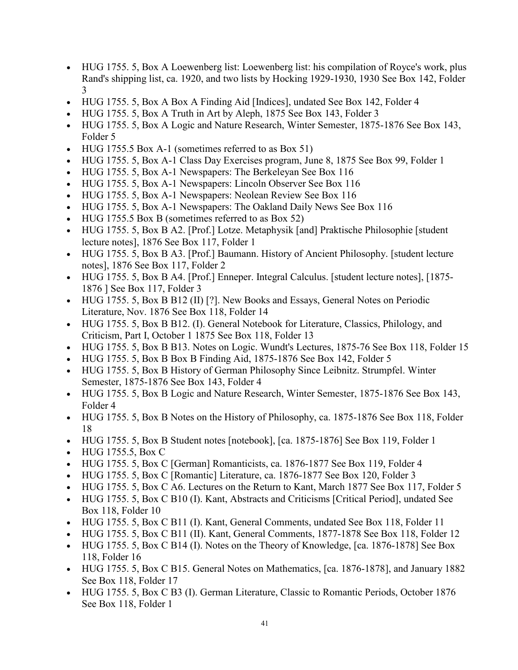- HUG 1755. 5, Box A Loewenberg list: Loewenberg list: his compilation of Royce's work, plus Rand's shipping list, ca. 1920, and two lists by Hocking 1929-1930, 1930 See Box 142, Folder 3
- HUG 1755. 5, Box A Box A Finding Aid [Indices], undated See Box 142, Folder 4
- HUG 1755. 5, Box A Truth in Art by Aleph, 1875 See Box 143, Folder 3
- HUG 1755. 5, Box A Logic and Nature Research, Winter Semester, 1875-1876 See Box 143, Folder 5
- HUG 1755.5 Box A-1 (sometimes referred to as Box 51)
- HUG 1755. 5, Box A-1 Class Day Exercises program, June 8, 1875 See Box 99, Folder 1
- HUG 1755. 5, Box A-1 Newspapers: The Berkeleyan See Box 116
- HUG 1755. 5, Box A-1 Newspapers: Lincoln Observer See Box 116
- HUG 1755. 5, Box A-1 Newspapers: Neolean Review See Box 116
- HUG 1755. 5, Box A-1 Newspapers: The Oakland Daily News See Box 116
- HUG 1755.5 Box B (sometimes referred to as Box 52)
- HUG 1755. 5, Box B A2. [Prof.] Lotze. Metaphysik [and] Praktische Philosophie [student lecture notes], 1876 See Box 117, Folder 1
- HUG 1755. 5, Box B A3. [Prof.] Baumann. History of Ancient Philosophy. [student lecture notes], 1876 See Box 117, Folder 2
- HUG 1755. 5, Box B A4. [Prof.] Enneper. Integral Calculus. [student lecture notes], [1875- 1876 ] See Box 117, Folder 3
- HUG 1755. 5, Box B B12 (II) [?]. New Books and Essays, General Notes on Periodic Literature, Nov. 1876 See Box 118, Folder 14
- HUG 1755. 5, Box B B12. (I). General Notebook for Literature, Classics, Philology, and Criticism, Part I, October 1 1875 See Box 118, Folder 13
- HUG 1755. 5, Box B B13. Notes on Logic. Wundt's Lectures, 1875-76 See Box 118, Folder 15
- HUG 1755. 5, Box B Box B Finding Aid, 1875-1876 See Box 142, Folder 5
- HUG 1755. 5, Box B History of German Philosophy Since Leibnitz. Strumpfel. Winter Semester, 1875-1876 See Box 143, Folder 4
- HUG 1755. 5, Box B Logic and Nature Research, Winter Semester, 1875-1876 See Box 143, Folder 4
- HUG 1755. 5, Box B Notes on the History of Philosophy, ca. 1875-1876 See Box 118, Folder 18
- HUG 1755. 5, Box B Student notes [notebook], [ca. 1875-1876] See Box 119, Folder 1
- HUG 1755.5, Box C
- HUG 1755. 5, Box C [German] Romanticists, ca. 1876-1877 See Box 119, Folder 4
- HUG 1755. 5, Box C [Romantic] Literature, ca. 1876-1877 See Box 120, Folder 3
- HUG 1755. 5, Box C A6. Lectures on the Return to Kant, March 1877 See Box 117, Folder 5
- HUG 1755. 5, Box C B10 (I). Kant, Abstracts and Criticisms [Critical Period], undated See Box 118, Folder 10
- HUG 1755. 5, Box C B11 (I). Kant, General Comments, undated See Box 118, Folder 11
- HUG 1755. 5, Box C B11 (II). Kant, General Comments, 1877-1878 See Box 118, Folder 12
- HUG 1755. 5, Box C B14 (I). Notes on the Theory of Knowledge, [ca. 1876-1878] See Box 118, Folder 16
- HUG 1755. 5, Box C B15. General Notes on Mathematics, [ca. 1876-1878], and January 1882 See Box 118, Folder 17
- HUG 1755. 5, Box C B3 (I). German Literature, Classic to Romantic Periods, October 1876 See Box 118, Folder 1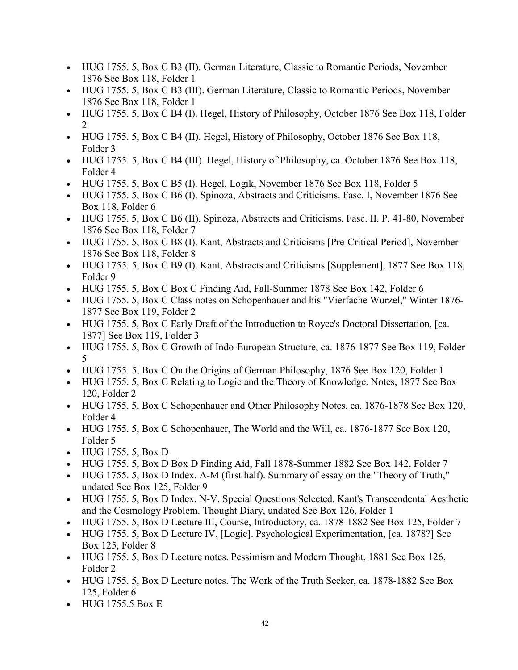- HUG 1755. 5, Box C B3 (II). German Literature, Classic to Romantic Periods, November 1876 See Box 118, Folder 1
- HUG 1755. 5, Box C B3 (III). German Literature, Classic to Romantic Periods, November 1876 See Box 118, Folder 1
- HUG 1755. 5, Box C B4 (I). Hegel, History of Philosophy, October 1876 See Box 118, Folder 2
- HUG 1755. 5, Box C B4 (II). Hegel, History of Philosophy, October 1876 See Box 118, Folder 3
- HUG 1755. 5, Box C B4 (III). Hegel, History of Philosophy, ca. October 1876 See Box 118, Folder 4
- HUG 1755. 5, Box C B5 (I). Hegel, Logik, November 1876 See Box 118, Folder 5
- HUG 1755. 5, Box C B6 (I). Spinoza, Abstracts and Criticisms. Fasc. I, November 1876 See Box 118, Folder 6
- HUG 1755. 5, Box C B6 (II). Spinoza, Abstracts and Criticisms. Fasc. II. P. 41-80, November 1876 See Box 118, Folder 7
- HUG 1755. 5, Box C B8 (I). Kant, Abstracts and Criticisms [Pre-Critical Period], November 1876 See Box 118, Folder 8
- HUG 1755. 5, Box C B9 (I). Kant, Abstracts and Criticisms [Supplement], 1877 See Box 118, Folder 9
- HUG 1755. 5, Box C Box C Finding Aid, Fall-Summer 1878 See Box 142, Folder 6
- HUG 1755. 5, Box C Class notes on Schopenhauer and his "Vierfache Wurzel," Winter 1876- 1877 See Box 119, Folder 2
- HUG 1755. 5, Box C Early Draft of the Introduction to Royce's Doctoral Dissertation, [ca. 1877] See Box 119, Folder 3
- HUG 1755. 5, Box C Growth of Indo-European Structure, ca. 1876-1877 See Box 119, Folder 5
- HUG 1755. 5, Box C On the Origins of German Philosophy, 1876 See Box 120, Folder 1
- HUG 1755. 5, Box C Relating to Logic and the Theory of Knowledge. Notes, 1877 See Box 120, Folder 2
- HUG 1755. 5, Box C Schopenhauer and Other Philosophy Notes, ca. 1876-1878 See Box 120, Folder 4
- HUG 1755. 5, Box C Schopenhauer, The World and the Will, ca. 1876-1877 See Box 120, Folder 5
- HUG 1755. 5, Box D
- HUG 1755. 5, Box D Box D Finding Aid, Fall 1878-Summer 1882 See Box 142, Folder 7
- HUG 1755. 5, Box D Index. A-M (first half). Summary of essay on the "Theory of Truth," undated See Box 125, Folder 9
- HUG 1755. 5, Box D Index. N-V. Special Questions Selected. Kant's Transcendental Aesthetic and the Cosmology Problem. Thought Diary, undated See Box 126, Folder 1
- HUG 1755. 5, Box D Lecture III, Course, Introductory, ca. 1878-1882 See Box 125, Folder 7
- HUG 1755. 5, Box D Lecture IV, [Logic]. Psychological Experimentation, [ca. 1878?] See Box 125, Folder 8
- HUG 1755. 5, Box D Lecture notes. Pessimism and Modern Thought, 1881 See Box 126, Folder 2
- HUG 1755. 5, Box D Lecture notes. The Work of the Truth Seeker, ca. 1878-1882 See Box 125, Folder 6
- HUG 1755.5 Box E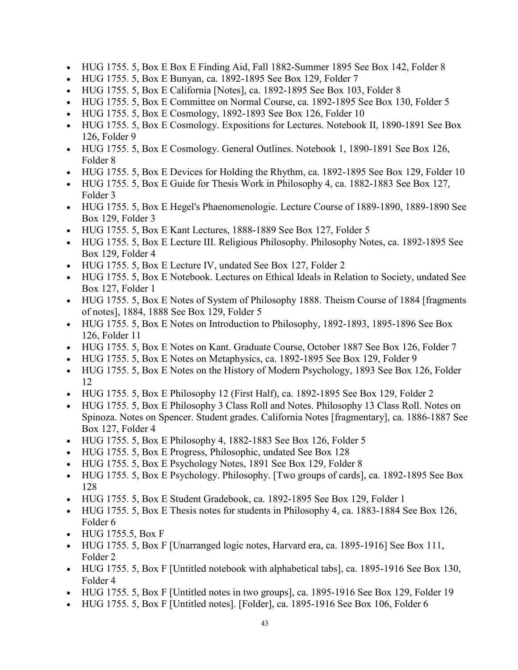- HUG 1755. 5, Box E Box E Finding Aid, Fall 1882-Summer 1895 See Box 142, Folder 8
- HUG 1755. 5, Box E Bunyan, ca. 1892-1895 See Box 129, Folder 7
- HUG 1755. 5, Box E California [Notes], ca. 1892-1895 See Box 103, Folder 8
- HUG 1755. 5, Box E Committee on Normal Course, ca. 1892-1895 See Box 130, Folder 5
- HUG 1755. 5, Box E Cosmology, 1892-1893 See Box 126, Folder 10
- HUG 1755. 5, Box E Cosmology. Expositions for Lectures. Notebook II, 1890-1891 See Box 126, Folder 9
- HUG 1755. 5, Box E Cosmology. General Outlines. Notebook 1, 1890-1891 See Box 126, Folder 8
- HUG 1755. 5, Box E Devices for Holding the Rhythm, ca. 1892-1895 See Box 129, Folder 10
- HUG 1755. 5, Box E Guide for Thesis Work in Philosophy 4, ca. 1882-1883 See Box 127, Folder 3
- HUG 1755. 5, Box E Hegel's Phaenomenologie. Lecture Course of 1889-1890, 1889-1890 See Box 129, Folder 3
- HUG 1755. 5, Box E Kant Lectures, 1888-1889 See Box 127, Folder 5
- HUG 1755. 5, Box E Lecture III. Religious Philosophy. Philosophy Notes, ca. 1892-1895 See Box 129, Folder 4
- HUG 1755. 5, Box E Lecture IV, undated See Box 127, Folder 2
- HUG 1755. 5, Box E Notebook. Lectures on Ethical Ideals in Relation to Society, undated See Box 127, Folder 1
- HUG 1755. 5, Box E Notes of System of Philosophy 1888. Theism Course of 1884 [fragments] of notes], 1884, 1888 See Box 129, Folder 5
- HUG 1755. 5, Box E Notes on Introduction to Philosophy, 1892-1893, 1895-1896 See Box 126, Folder 11
- HUG 1755. 5, Box E Notes on Kant. Graduate Course, October 1887 See Box 126, Folder 7
- HUG 1755. 5, Box E Notes on Metaphysics, ca. 1892-1895 See Box 129, Folder 9
- HUG 1755. 5, Box E Notes on the History of Modern Psychology, 1893 See Box 126, Folder 12
- HUG 1755. 5, Box E Philosophy 12 (First Half), ca. 1892-1895 See Box 129, Folder 2
- HUG 1755. 5, Box E Philosophy 3 Class Roll and Notes. Philosophy 13 Class Roll. Notes on Spinoza. Notes on Spencer. Student grades. California Notes [fragmentary], ca. 1886-1887 See Box 127, Folder 4
- HUG 1755. 5, Box E Philosophy 4, 1882-1883 See Box 126, Folder 5
- HUG 1755. 5, Box E Progress, Philosophic, undated See Box 128
- HUG 1755. 5, Box E Psychology Notes, 1891 See Box 129, Folder 8
- HUG 1755. 5, Box E Psychology. Philosophy. [Two groups of cards], ca. 1892-1895 See Box 128
- HUG 1755. 5, Box E Student Gradebook, ca. 1892-1895 See Box 129, Folder 1
- HUG 1755. 5, Box E Thesis notes for students in Philosophy 4, ca. 1883-1884 See Box 126, Folder 6
- HUG 1755.5, Box F
- HUG 1755. 5, Box F [Unarranged logic notes, Harvard era, ca. 1895-1916] See Box 111, Folder 2
- HUG 1755. 5, Box F [Untitled notebook with alphabetical tabs], ca. 1895-1916 See Box 130, Folder 4
- HUG 1755. 5, Box F [Untitled notes in two groups], ca. 1895-1916 See Box 129, Folder 19
- HUG 1755. 5, Box F [Untitled notes]. [Folder], ca. 1895-1916 See Box 106, Folder 6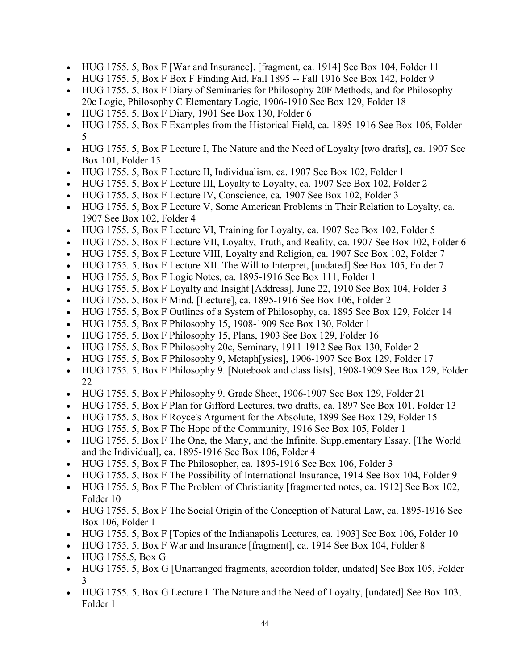- HUG 1755. 5, Box F [War and Insurance]. [fragment, ca. 1914] See Box 104, Folder 11
- HUG 1755. 5, Box F Box F Finding Aid, Fall 1895 -- Fall 1916 See Box 142, Folder 9
- HUG 1755. 5, Box F Diary of Seminaries for Philosophy 20F Methods, and for Philosophy 20c Logic, Philosophy C Elementary Logic, 1906-1910 See Box 129, Folder 18
- HUG 1755. 5, Box F Diary, 1901 See Box 130, Folder 6
- HUG 1755. 5, Box F Examples from the Historical Field, ca. 1895-1916 See Box 106, Folder 5
- HUG 1755. 5, Box F Lecture I, The Nature and the Need of Loyalty [two drafts], ca. 1907 See Box 101, Folder 15
- HUG 1755. 5, Box F Lecture II, Individualism, ca. 1907 See Box 102, Folder 1
- HUG 1755. 5, Box F Lecture III, Loyalty to Loyalty, ca. 1907 See Box 102, Folder 2
- HUG 1755. 5, Box F Lecture IV, Conscience, ca. 1907 See Box 102, Folder 3
- HUG 1755. 5, Box F Lecture V, Some American Problems in Their Relation to Loyalty, ca. 1907 See Box 102, Folder 4
- HUG 1755. 5, Box F Lecture VI, Training for Loyalty, ca. 1907 See Box 102, Folder 5
- HUG 1755. 5, Box F Lecture VII, Loyalty, Truth, and Reality, ca. 1907 See Box 102, Folder 6
- HUG 1755. 5, Box F Lecture VIII, Loyalty and Religion, ca. 1907 See Box 102, Folder 7
- HUG 1755. 5, Box F Lecture XII. The Will to Interpret, [undated] See Box 105, Folder 7
- HUG 1755. 5, Box F Logic Notes, ca. 1895-1916 See Box 111, Folder 1
- HUG 1755. 5, Box F Loyalty and Insight [Address], June 22, 1910 See Box 104, Folder 3
- HUG 1755. 5, Box F Mind. [Lecture], ca. 1895-1916 See Box 106, Folder 2
- HUG 1755. 5, Box F Outlines of a System of Philosophy, ca. 1895 See Box 129, Folder 14
- HUG 1755. 5, Box F Philosophy 15, 1908-1909 See Box 130, Folder 1
- HUG 1755. 5, Box F Philosophy 15, Plans, 1903 See Box 129, Folder 16
- HUG 1755. 5, Box F Philosophy 20c, Seminary, 1911-1912 See Box 130, Folder 2
- HUG 1755. 5, Box F Philosophy 9, Metaph[ysics], 1906-1907 See Box 129, Folder 17
- HUG 1755. 5, Box F Philosophy 9. [Notebook and class lists], 1908-1909 See Box 129, Folder 22
- HUG 1755. 5, Box F Philosophy 9. Grade Sheet, 1906-1907 See Box 129, Folder 21
- HUG 1755. 5, Box F Plan for Gifford Lectures, two drafts, ca. 1897 See Box 101, Folder 13
- HUG 1755. 5, Box F Royce's Argument for the Absolute, 1899 See Box 129, Folder 15
- HUG 1755. 5, Box F The Hope of the Community, 1916 See Box 105, Folder 1
- HUG 1755. 5, Box F The One, the Many, and the Infinite. Supplementary Essay. [The World and the Individual], ca. 1895-1916 See Box 106, Folder 4
- HUG 1755. 5, Box F The Philosopher, ca. 1895-1916 See Box 106, Folder 3
- HUG 1755. 5, Box F The Possibility of International Insurance, 1914 See Box 104, Folder 9
- HUG 1755. 5, Box F The Problem of Christianity [fragmented notes, ca. 1912] See Box 102, Folder 10
- HUG 1755. 5, Box F The Social Origin of the Conception of Natural Law, ca. 1895-1916 See Box 106, Folder 1
- HUG 1755. 5, Box F [Topics of the Indianapolis Lectures, ca. 1903] See Box 106, Folder 10
- HUG 1755. 5, Box F War and Insurance [fragment], ca. 1914 See Box 104, Folder 8
- HUG 1755.5, Box G
- HUG 1755. 5, Box G [Unarranged fragments, accordion folder, undated] See Box 105, Folder 3
- HUG 1755. 5, Box G Lecture I. The Nature and the Need of Loyalty, [undated] See Box 103, Folder 1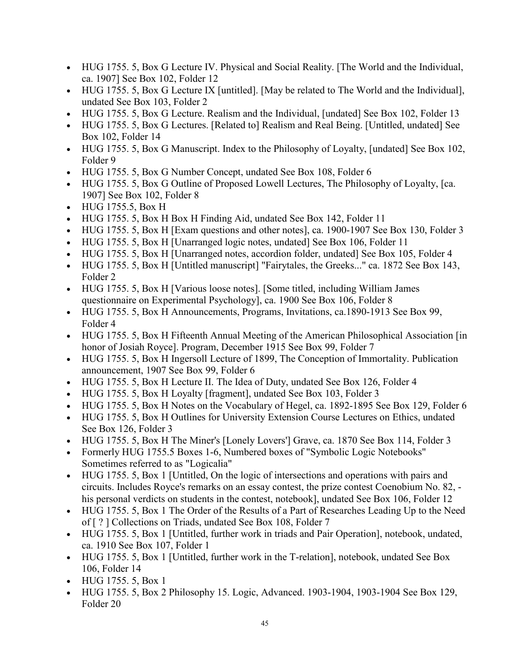- HUG 1755. 5, Box G Lecture IV. Physical and Social Reality. [The World and the Individual, ca. 1907] See Box 102, Folder 12
- HUG 1755. 5, Box G Lecture IX [untitled]. [May be related to The World and the Individual], undated See Box 103, Folder 2
- HUG 1755. 5, Box G Lecture. Realism and the Individual, [undated] See Box 102, Folder 13
- HUG 1755. 5, Box G Lectures. [Related to] Realism and Real Being. [Untitled, undated] See Box 102, Folder 14
- HUG 1755. 5, Box G Manuscript. Index to the Philosophy of Loyalty, [undated] See Box 102, Folder 9
- HUG 1755. 5, Box G Number Concept, undated See Box 108, Folder 6
- HUG 1755. 5, Box G Outline of Proposed Lowell Lectures, The Philosophy of Loyalty, [ca. 1907] See Box 102, Folder 8
- HUG 1755.5, Box H
- HUG 1755. 5, Box H Box H Finding Aid, undated See Box 142, Folder 11
- HUG 1755. 5, Box H [Exam questions and other notes], ca. 1900-1907 See Box 130, Folder 3
- HUG 1755. 5, Box H [Unarranged logic notes, undated] See Box 106, Folder 11
- HUG 1755. 5, Box H [Unarranged notes, accordion folder, undated] See Box 105, Folder 4
- HUG 1755. 5, Box H [Untitled manuscript] "Fairytales, the Greeks..." ca. 1872 See Box 143, Folder 2
- HUG 1755. 5, Box H [Various loose notes]. [Some titled, including William James questionnaire on Experimental Psychology], ca. 1900 See Box 106, Folder 8
- HUG 1755. 5, Box H Announcements, Programs, Invitations, ca.1890-1913 See Box 99, Folder 4
- HUG 1755. 5, Box H Fifteenth Annual Meeting of the American Philosophical Association [in] honor of Josiah Royce]. Program, December 1915 See Box 99, Folder 7
- HUG 1755. 5, Box H Ingersoll Lecture of 1899, The Conception of Immortality. Publication announcement, 1907 See Box 99, Folder 6
- HUG 1755. 5, Box H Lecture II. The Idea of Duty, undated See Box 126, Folder 4
- HUG 1755. 5, Box H Loyalty [fragment], undated See Box 103, Folder 3
- HUG 1755. 5, Box H Notes on the Vocabulary of Hegel, ca. 1892-1895 See Box 129, Folder 6
- HUG 1755. 5, Box H Outlines for University Extension Course Lectures on Ethics, undated See Box 126, Folder 3
- HUG 1755. 5, Box H The Miner's [Lonely Lovers'] Grave, ca. 1870 See Box 114, Folder 3
- Formerly HUG 1755.5 Boxes 1-6, Numbered boxes of "Symbolic Logic Notebooks" Sometimes referred to as "Logicalia"
- HUG 1755. 5, Box 1 [Untitled, On the logic of intersections and operations with pairs and circuits. Includes Royce's remarks on an essay contest, the prize contest Coenobium No. 82, his personal verdicts on students in the contest, notebook], undated See Box 106, Folder 12
- HUG 1755. 5, Box 1 The Order of the Results of a Part of Researches Leading Up to the Need of [ ? ] Collections on Triads, undated See Box 108, Folder 7
- HUG 1755. 5, Box 1 [Untitled, further work in triads and Pair Operation], notebook, undated, ca. 1910 See Box 107, Folder 1
- HUG 1755. 5, Box 1 [Untitled, further work in the T-relation], notebook, undated See Box 106, Folder 14
- HUG 1755. 5, Box 1
- HUG 1755. 5, Box 2 Philosophy 15. Logic, Advanced. 1903-1904, 1903-1904 See Box 129, Folder 20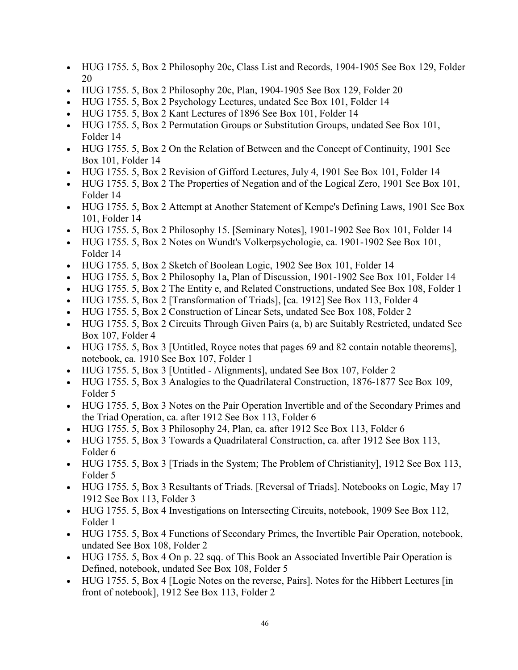- HUG 1755. 5, Box 2 Philosophy 20c, Class List and Records, 1904-1905 See Box 129, Folder 20
- HUG 1755. 5, Box 2 Philosophy 20c, Plan, 1904-1905 See Box 129, Folder 20
- HUG 1755. 5, Box 2 Psychology Lectures, undated See Box 101, Folder 14
- HUG 1755. 5, Box 2 Kant Lectures of 1896 See Box 101, Folder 14
- HUG 1755. 5, Box 2 Permutation Groups or Substitution Groups, undated See Box 101, Folder 14
- HUG 1755. 5, Box 2 On the Relation of Between and the Concept of Continuity, 1901 See Box 101, Folder 14
- HUG 1755. 5, Box 2 Revision of Gifford Lectures, July 4, 1901 See Box 101, Folder 14
- HUG 1755. 5, Box 2 The Properties of Negation and of the Logical Zero, 1901 See Box 101, Folder 14
- HUG 1755. 5, Box 2 Attempt at Another Statement of Kempe's Defining Laws, 1901 See Box 101, Folder 14
- HUG 1755. 5, Box 2 Philosophy 15. [Seminary Notes], 1901-1902 See Box 101, Folder 14
- HUG 1755. 5, Box 2 Notes on Wundt's Volkerpsychologie, ca. 1901-1902 See Box 101, Folder 14
- HUG 1755. 5, Box 2 Sketch of Boolean Logic, 1902 See Box 101, Folder 14
- HUG 1755. 5, Box 2 Philosophy 1a, Plan of Discussion, 1901-1902 See Box 101, Folder 14
- HUG 1755. 5, Box 2 The Entity e, and Related Constructions, undated See Box 108, Folder 1
- HUG 1755. 5, Box 2 [Transformation of Triads], [ca. 1912] See Box 113, Folder 4
- HUG 1755. 5, Box 2 Construction of Linear Sets, undated See Box 108, Folder 2
- HUG 1755. 5, Box 2 Circuits Through Given Pairs (a, b) are Suitably Restricted, undated See Box 107, Folder 4
- HUG 1755. 5, Box 3 [Untitled, Royce notes that pages 69 and 82 contain notable theorems], notebook, ca. 1910 See Box 107, Folder 1
- HUG 1755. 5, Box 3 [Untitled Alignments], undated See Box 107, Folder 2
- HUG 1755. 5, Box 3 Analogies to the Quadrilateral Construction, 1876-1877 See Box 109, Folder 5
- HUG 1755. 5, Box 3 Notes on the Pair Operation Invertible and of the Secondary Primes and the Triad Operation, ca. after 1912 See Box 113, Folder 6
- HUG 1755. 5, Box 3 Philosophy 24, Plan, ca. after 1912 See Box 113, Folder 6
- HUG 1755. 5, Box 3 Towards a Quadrilateral Construction, ca. after 1912 See Box 113, Folder 6
- HUG 1755. 5, Box 3 [Triads in the System; The Problem of Christianity], 1912 See Box 113, Folder 5
- HUG 1755. 5, Box 3 Resultants of Triads. [Reversal of Triads]. Notebooks on Logic, May 17 1912 See Box 113, Folder 3
- HUG 1755. 5, Box 4 Investigations on Intersecting Circuits, notebook, 1909 See Box 112, Folder 1
- HUG 1755. 5, Box 4 Functions of Secondary Primes, the Invertible Pair Operation, notebook, undated See Box 108, Folder 2
- HUG 1755. 5, Box 4 On p. 22 sqq. of This Book an Associated Invertible Pair Operation is Defined, notebook, undated See Box 108, Folder 5
- HUG 1755. 5, Box 4 [Logic Notes on the reverse, Pairs]. Notes for the Hibbert Lectures [in] front of notebook], 1912 See Box 113, Folder 2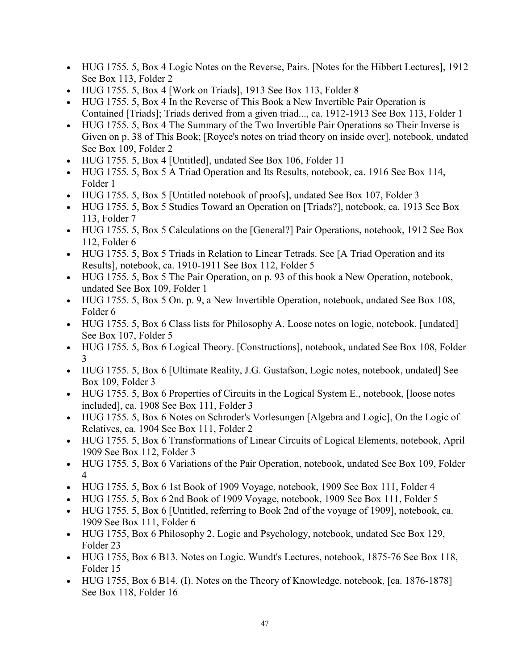- HUG 1755. 5, Box 4 Logic Notes on the Reverse, Pairs. [Notes for the Hibbert Lectures], 1912 See Box 113, Folder 2
- HUG 1755. 5, Box 4 [Work on Triads], 1913 See Box 113, Folder 8
- HUG 1755. 5, Box 4 In the Reverse of This Book a New Invertible Pair Operation is Contained [Triads]; Triads derived from a given triad..., ca. 1912-1913 See Box 113, Folder 1
- HUG 1755. 5, Box 4 The Summary of the Two Invertible Pair Operations so Their Inverse is Given on p. 38 of This Book; [Royce's notes on triad theory on inside over], notebook, undated See Box 109, Folder 2
- HUG 1755. 5, Box 4 [Untitled], undated See Box 106, Folder 11
- HUG 1755. 5, Box 5 A Triad Operation and Its Results, notebook, ca. 1916 See Box 114, Folder 1
- HUG 1755. 5, Box 5 [Untitled notebook of proofs], undated See Box 107, Folder 3
- HUG 1755. 5, Box 5 Studies Toward an Operation on [Triads?], notebook, ca. 1913 See Box 113, Folder 7
- HUG 1755. 5, Box 5 Calculations on the [General?] Pair Operations, notebook, 1912 See Box 112, Folder 6
- HUG 1755. 5, Box 5 Triads in Relation to Linear Tetrads. See [A Triad Operation and its Results], notebook, ca. 1910-1911 See Box 112, Folder 5
- HUG 1755. 5, Box 5 The Pair Operation, on p. 93 of this book a New Operation, notebook, undated See Box 109, Folder 1
- HUG 1755. 5, Box 5 On. p. 9, a New Invertible Operation, notebook, undated See Box 108, Folder 6
- HUG 1755. 5, Box 6 Class lists for Philosophy A. Loose notes on logic, notebook, [undated] See Box 107, Folder 5
- HUG 1755. 5, Box 6 Logical Theory. [Constructions], notebook, undated See Box 108, Folder 3
- HUG 1755. 5, Box 6 [Ultimate Reality, J.G. Gustafson, Logic notes, notebook, undated] See Box 109, Folder 3
- HUG 1755. 5, Box 6 Properties of Circuits in the Logical System E., notebook, [loose notes] included], ca. 1908 See Box 111, Folder 3
- HUG 1755. 5, Box 6 Notes on Schroder's Vorlesungen [Algebra and Logic], On the Logic of Relatives, ca. 1904 See Box 111, Folder 2
- HUG 1755. 5, Box 6 Transformations of Linear Circuits of Logical Elements, notebook, April 1909 See Box 112, Folder 3
- HUG 1755. 5, Box 6 Variations of the Pair Operation, notebook, undated See Box 109, Folder 4
- HUG 1755. 5, Box 6 1st Book of 1909 Voyage, notebook, 1909 See Box 111, Folder 4
- HUG 1755. 5, Box 6 2nd Book of 1909 Voyage, notebook, 1909 See Box 111, Folder 5
- HUG 1755. 5, Box 6 [Untitled, referring to Book 2nd of the voyage of 1909], notebook, ca. 1909 See Box 111, Folder 6
- HUG 1755, Box 6 Philosophy 2. Logic and Psychology, notebook, undated See Box 129, Folder 23
- HUG 1755, Box 6 B13. Notes on Logic. Wundt's Lectures, notebook, 1875-76 See Box 118, Folder 15
- HUG 1755, Box 6 B14. (I). Notes on the Theory of Knowledge, notebook, [ca. 1876-1878] See Box 118, Folder 16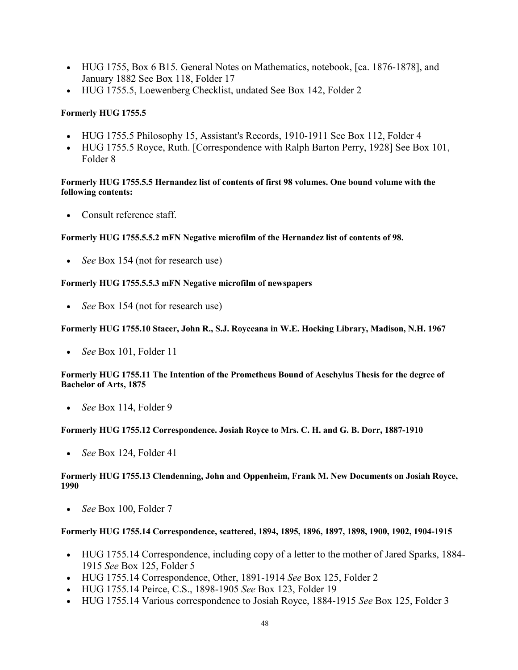- HUG 1755, Box 6 B15. General Notes on Mathematics, notebook, [ca. 1876-1878], and January 1882 See Box 118, Folder 17
- HUG 1755.5, Loewenberg Checklist, undated See Box 142, Folder 2

### **Formerly HUG 1755.5**

- HUG 1755.5 Philosophy 15, Assistant's Records, 1910-1911 See Box 112, Folder 4
- HUG 1755.5 Royce, Ruth. [Correspondence with Ralph Barton Perry, 1928] See Box 101, Folder 8

### **Formerly HUG 1755.5.5 Hernandez list of contents of first 98 volumes. One bound volume with the following contents:**

• Consult reference staff.

### **Formerly HUG 1755.5.5.2 mFN Negative microfilm of the Hernandez list of contents of 98.**

• *See* Box 154 (not for research use)

### **Formerly HUG 1755.5.5.3 mFN Negative microfilm of newspapers**

• *See* Box 154 (not for research use)

### **Formerly HUG 1755.10 Stacer, John R., S.J. Royceana in W.E. Hocking Library, Madison, N.H. 1967**

• *See* Box 101, Folder 11

### **Formerly HUG 1755.11 The Intention of the Prometheus Bound of Aeschylus Thesis for the degree of Bachelor of Arts, 1875**

• *See* Box 114, Folder 9

### **Formerly HUG 1755.12 Correspondence. Josiah Royce to Mrs. C. H. and G. B. Dorr, 1887-1910**

• *See* Box 124, Folder 41

### **Formerly HUG 1755.13 Clendenning, John and Oppenheim, Frank M. New Documents on Josiah Royce, 1990**

• *See* Box 100, Folder 7

### **Formerly HUG 1755.14 Correspondence, scattered, 1894, 1895, 1896, 1897, 1898, 1900, 1902, 1904-1915**

- HUG 1755.14 Correspondence, including copy of a letter to the mother of Jared Sparks, 1884- 1915 *See* Box 125, Folder 5
- HUG 1755.14 Correspondence, Other, 1891-1914 *See* Box 125, Folder 2
- HUG 1755.14 Peirce, C.S., 1898-1905 *See* Box 123, Folder 19
- HUG 1755.14 Various correspondence to Josiah Royce, 1884-1915 *See* Box 125, Folder 3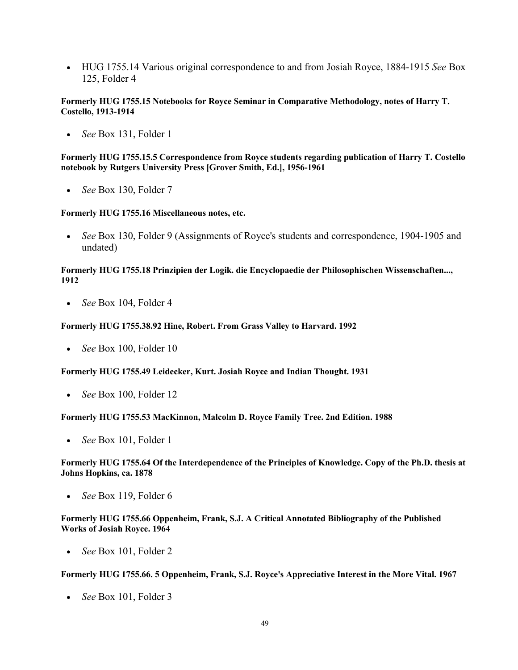• HUG 1755.14 Various original correspondence to and from Josiah Royce, 1884-1915 *See* Box 125, Folder 4

#### **Formerly HUG 1755.15 Notebooks for Royce Seminar in Comparative Methodology, notes of Harry T. Costello, 1913-1914**

• *See* Box 131, Folder 1

**Formerly HUG 1755.15.5 Correspondence from Royce students regarding publication of Harry T. Costello notebook by Rutgers University Press [Grover Smith, Ed.], 1956-1961**

• *See* Box 130, Folder 7

#### **Formerly HUG 1755.16 Miscellaneous notes, etc.**

• *See* Box 130, Folder 9 (Assignments of Royce's students and correspondence, 1904-1905 and undated)

#### **Formerly HUG 1755.18 Prinzipien der Logik. die Encyclopaedie der Philosophischen Wissenschaften..., 1912**

• *See* Box 104, Folder 4

#### **Formerly HUG 1755.38.92 Hine, Robert. From Grass Valley to Harvard. 1992**

• *See* Box 100, Folder 10

#### **Formerly HUG 1755.49 Leidecker, Kurt. Josiah Royce and Indian Thought. 1931**

• *See* Box 100, Folder 12

#### **Formerly HUG 1755.53 MacKinnon, Malcolm D. Royce Family Tree. 2nd Edition. 1988**

• *See* Box 101, Folder 1

#### **Formerly HUG 1755.64 Of the Interdependence of the Principles of Knowledge. Copy of the Ph.D. thesis at Johns Hopkins, ca. 1878**

• *See* Box 119, Folder 6

#### **Formerly HUG 1755.66 Oppenheim, Frank, S.J. A Critical Annotated Bibliography of the Published Works of Josiah Royce. 1964**

• *See* Box 101, Folder 2

#### **Formerly HUG 1755.66. 5 Oppenheim, Frank, S.J. Royce's Appreciative Interest in the More Vital. 1967**

• *See* Box 101, Folder 3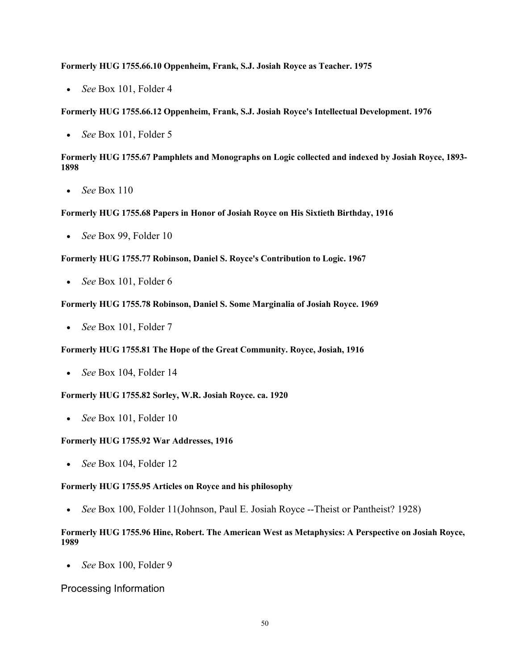#### **Formerly HUG 1755.66.10 Oppenheim, Frank, S.J. Josiah Royce as Teacher. 1975**

• *See* Box 101, Folder 4

**Formerly HUG 1755.66.12 Oppenheim, Frank, S.J. Josiah Royce's Intellectual Development. 1976**

• *See* Box 101, Folder 5

### **Formerly HUG 1755.67 Pamphlets and Monographs on Logic collected and indexed by Josiah Royce, 1893- 1898**

• *See* Box 110

### **Formerly HUG 1755.68 Papers in Honor of Josiah Royce on His Sixtieth Birthday, 1916**

• *See* Box 99, Folder 10

**Formerly HUG 1755.77 Robinson, Daniel S. Royce's Contribution to Logic. 1967**

• *See* Box 101, Folder 6

#### **Formerly HUG 1755.78 Robinson, Daniel S. Some Marginalia of Josiah Royce. 1969**

• *See* Box 101, Folder 7

#### **Formerly HUG 1755.81 The Hope of the Great Community. Royce, Josiah, 1916**

• *See* Box 104, Folder 14

#### **Formerly HUG 1755.82 Sorley, W.R. Josiah Royce. ca. 1920**

• *See* Box 101, Folder 10

#### **Formerly HUG 1755.92 War Addresses, 1916**

• *See* Box 104, Folder 12

#### **Formerly HUG 1755.95 Articles on Royce and his philosophy**

• *See* Box 100, Folder 11(Johnson, Paul E. Josiah Royce --Theist or Pantheist? 1928)

### **Formerly HUG 1755.96 Hine, Robert. The American West as Metaphysics: A Perspective on Josiah Royce, 1989**

• *See* Box 100, Folder 9

### Processing Information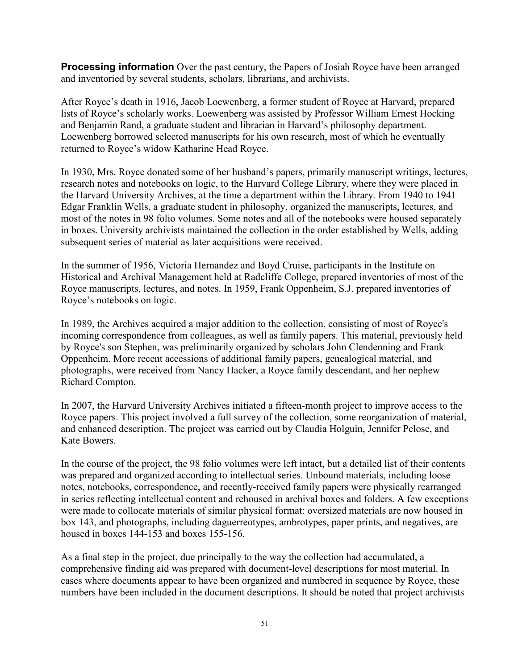**Processing information** Over the past century, the Papers of Josiah Royce have been arranged and inventoried by several students, scholars, librarians, and archivists.

After Royce's death in 1916, Jacob Loewenberg, a former student of Royce at Harvard, prepared lists of Royce's scholarly works. Loewenberg was assisted by Professor William Ernest Hocking and Benjamin Rand, a graduate student and librarian in Harvard's philosophy department. Loewenberg borrowed selected manuscripts for his own research, most of which he eventually returned to Royce's widow Katharine Head Royce.

In 1930, Mrs. Royce donated some of her husband's papers, primarily manuscript writings, lectures, research notes and notebooks on logic, to the Harvard College Library, where they were placed in the Harvard University Archives, at the time a department within the Library. From 1940 to 1941 Edgar Franklin Wells, a graduate student in philosophy, organized the manuscripts, lectures, and most of the notes in 98 folio volumes. Some notes and all of the notebooks were housed separately in boxes. University archivists maintained the collection in the order established by Wells, adding subsequent series of material as later acquisitions were received.

In the summer of 1956, Victoria Hernandez and Boyd Cruise, participants in the Institute on Historical and Archival Management held at Radcliffe College, prepared inventories of most of the Royce manuscripts, lectures, and notes. In 1959, Frank Oppenheim, S.J. prepared inventories of Royce's notebooks on logic.

In 1989, the Archives acquired a major addition to the collection, consisting of most of Royce's incoming correspondence from colleagues, as well as family papers. This material, previously held by Royce's son Stephen, was preliminarily organized by scholars John Clendenning and Frank Oppenheim. More recent accessions of additional family papers, genealogical material, and photographs, were received from Nancy Hacker, a Royce family descendant, and her nephew Richard Compton.

In 2007, the Harvard University Archives initiated a fifteen-month project to improve access to the Royce papers. This project involved a full survey of the collection, some reorganization of material, and enhanced description. The project was carried out by Claudia Holguin, Jennifer Pelose, and Kate Bowers.

In the course of the project, the 98 folio volumes were left intact, but a detailed list of their contents was prepared and organized according to intellectual series. Unbound materials, including loose notes, notebooks, correspondence, and recently-received family papers were physically rearranged in series reflecting intellectual content and rehoused in archival boxes and folders. A few exceptions were made to collocate materials of similar physical format: oversized materials are now housed in box 143, and photographs, including daguerreotypes, ambrotypes, paper prints, and negatives, are housed in boxes 144-153 and boxes 155-156.

As a final step in the project, due principally to the way the collection had accumulated, a comprehensive finding aid was prepared with document-level descriptions for most material. In cases where documents appear to have been organized and numbered in sequence by Royce, these numbers have been included in the document descriptions. It should be noted that project archivists